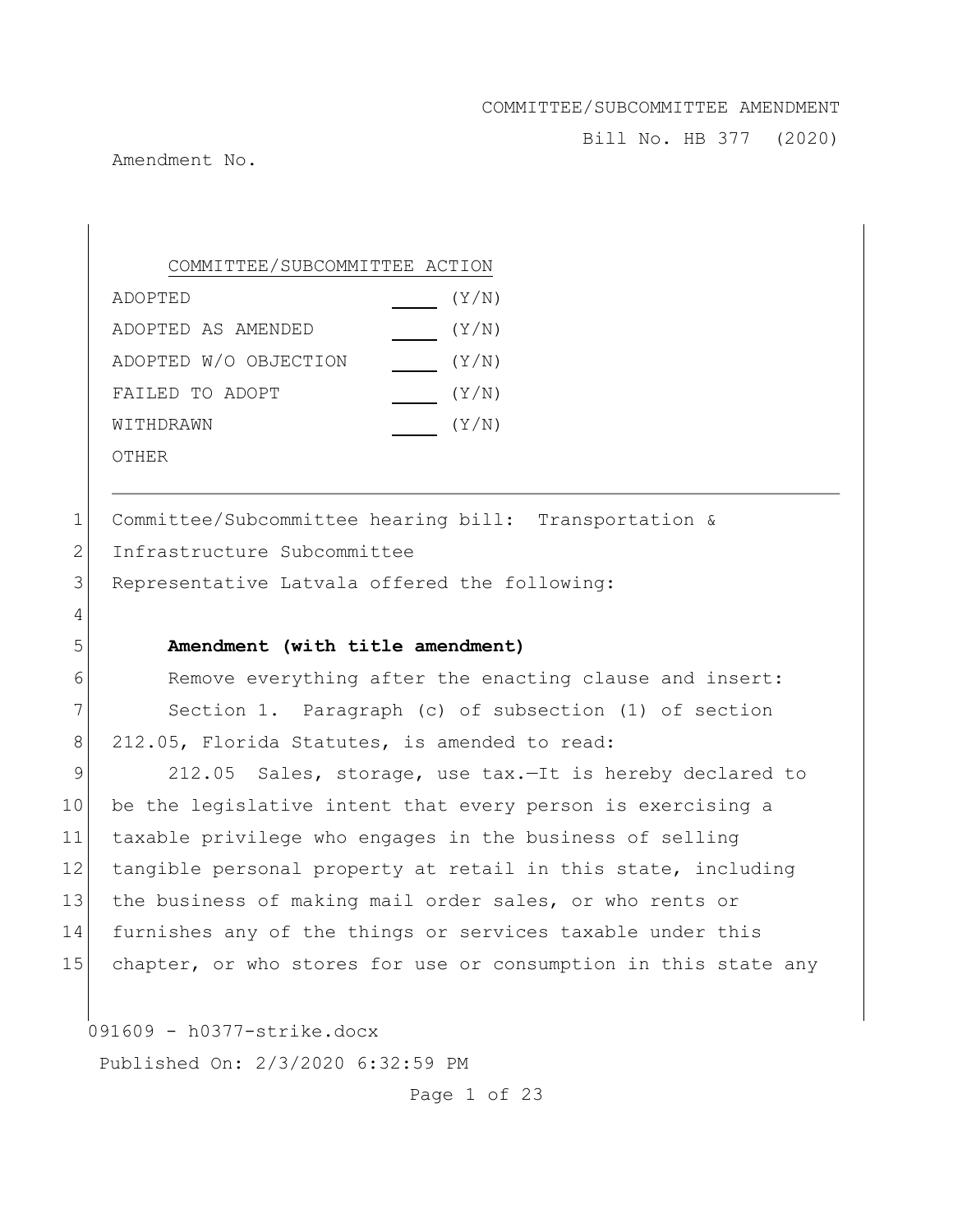Bill No. HB 377 (2020)

Amendment No.

4

COMMITTEE/SUBCOMMITTEE ACTION

| ADOPTED               | (Y/N) |
|-----------------------|-------|
| ADOPTED AS AMENDED    | (Y/N) |
| ADOPTED W/O OBJECTION | (Y/N) |
| FAILED TO ADOPT       | (Y/N) |
| WITHDRAWN             | (Y/N) |
| OTHER                 |       |

1 Committee/Subcommittee hearing bill: Transportation & 2 Infrastructure Subcommittee

3 Representative Latvala offered the following:

### 5 **Amendment (with title amendment)**

6 Remove everything after the enacting clause and insert: 7 Section 1. Paragraph (c) of subsection (1) of section 8 212.05, Florida Statutes, is amended to read:

9 212.05 Sales, storage, use tax.-It is hereby declared to 10 be the legislative intent that every person is exercising a 11 taxable privilege who engages in the business of selling 12 tangible personal property at retail in this state, including 13 the business of making mail order sales, or who rents or 14 furnishes any of the things or services taxable under this 15 chapter, or who stores for use or consumption in this state any

091609 - h0377-strike.docx

Published On: 2/3/2020 6:32:59 PM

Page 1 of 23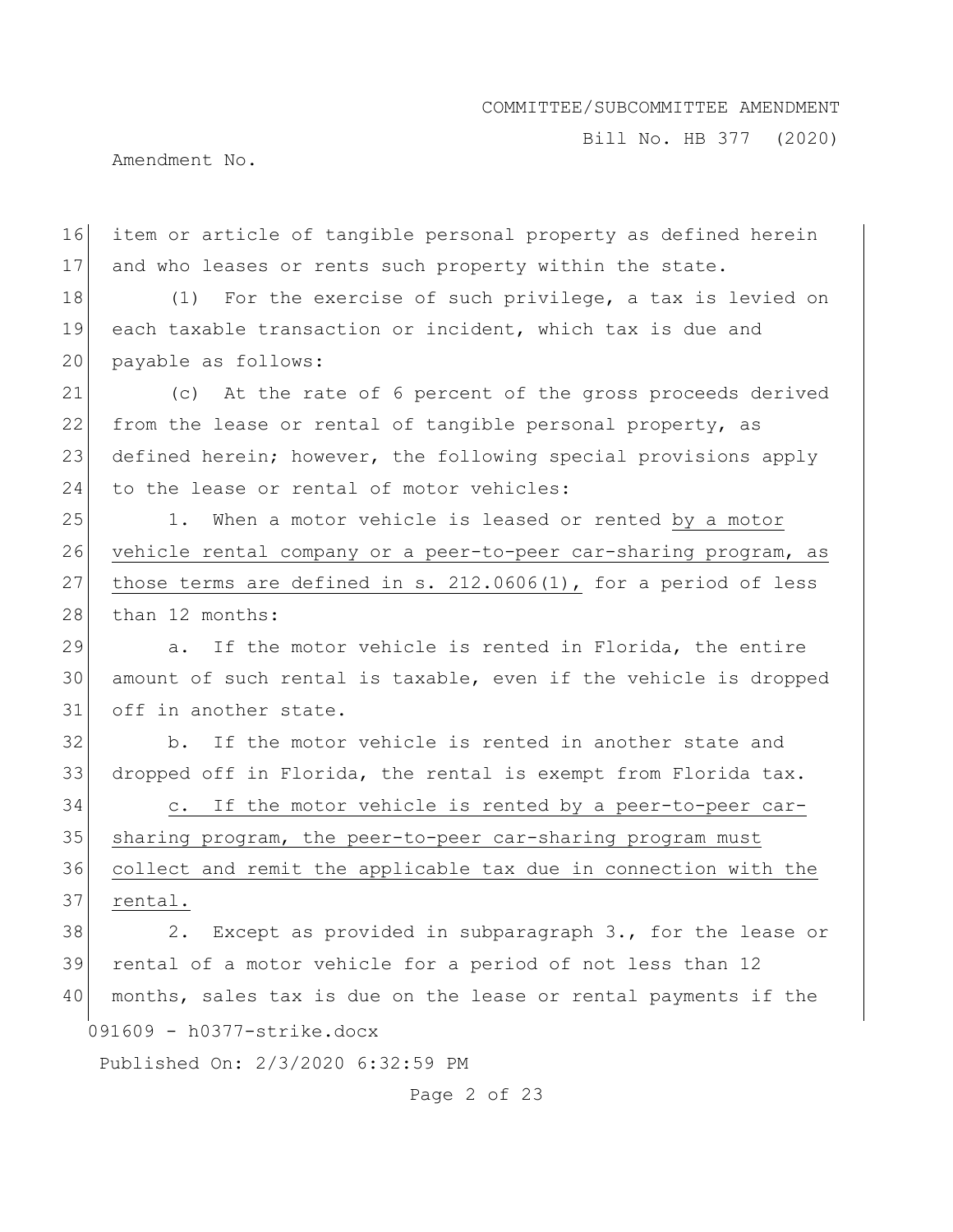Bill No. HB 377 (2020)

Amendment No.

16 item or article of tangible personal property as defined herein 17 and who leases or rents such property within the state.

18 (1) For the exercise of such privilege, a tax is levied on 19 each taxable transaction or incident, which tax is due and 20 payable as follows:

21 (c) At the rate of 6 percent of the gross proceeds derived 22 from the lease or rental of tangible personal property, as 23 defined herein; however, the following special provisions apply 24 to the lease or rental of motor vehicles:

25 1. When a motor vehicle is leased or rented by a motor 26 vehicle rental company or a peer-to-peer car-sharing program, as 27 those terms are defined in s.  $212.0606(1)$ , for a period of less 28 than 12 months:

29 a. If the motor vehicle is rented in Florida, the entire 30 amount of such rental is taxable, even if the vehicle is dropped 31 off in another state.

32 b. If the motor vehicle is rented in another state and 33 dropped off in Florida, the rental is exempt from Florida tax.

34 c. If the motor vehicle is rented by a peer-to-peer car-35 sharing program, the peer-to-peer car-sharing program must 36 collect and remit the applicable tax due in connection with the 37 rental.

091609 - h0377-strike.docx 38 2. Except as provided in subparagraph 3., for the lease or 39 rental of a motor vehicle for a period of not less than 12 40 months, sales tax is due on the lease or rental payments if the

Published On: 2/3/2020 6:32:59 PM

Page 2 of 23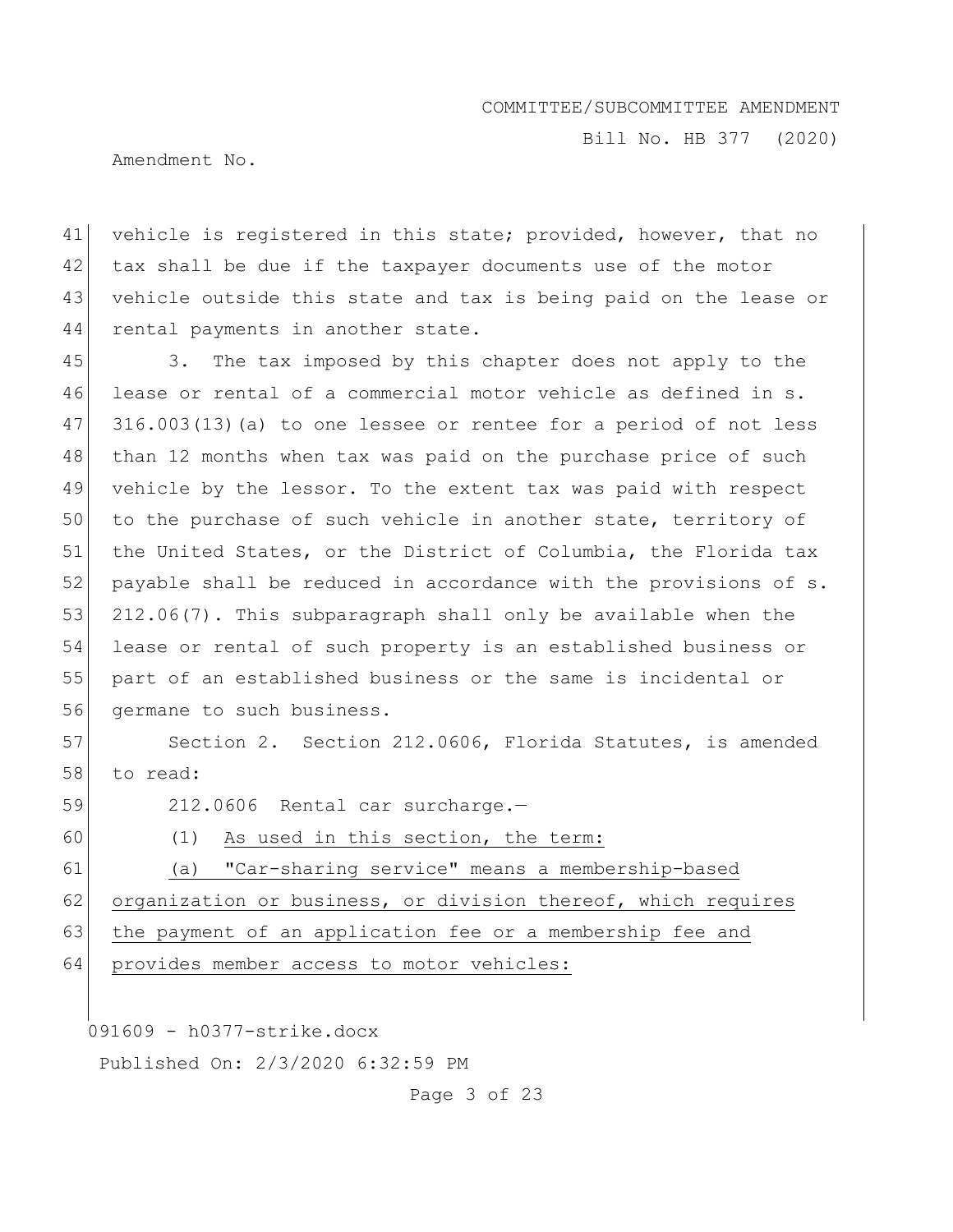Bill No. HB 377 (2020)

Amendment No.

41 vehicle is registered in this state; provided, however, that no 42 tax shall be due if the taxpayer documents use of the motor 43 vehicle outside this state and tax is being paid on the lease or 44 rental payments in another state.

45 3. The tax imposed by this chapter does not apply to the 46 lease or rental of a commercial motor vehicle as defined in s. 47 316.003(13)(a) to one lessee or rentee for a period of not less 48 than 12 months when tax was paid on the purchase price of such 49 vehicle by the lessor. To the extent tax was paid with respect 50 to the purchase of such vehicle in another state, territory of 51 | the United States, or the District of Columbia, the Florida tax 52 payable shall be reduced in accordance with the provisions of s. 53 212.06(7). This subparagraph shall only be available when the 54 lease or rental of such property is an established business or 55 part of an established business or the same is incidental or 56 germane to such business.

57 Section 2. Section 212.0606, Florida Statutes, is amended 58 to read:

59 212.0606 Rental car surcharge.-

60 (1) As used in this section, the term:

61 (a) "Car-sharing service" means a membership-based

62 organization or business, or division thereof, which requires

63 the payment of an application fee or a membership fee and

64 provides member access to motor vehicles:

091609 - h0377-strike.docx

Published On: 2/3/2020 6:32:59 PM

Page 3 of 23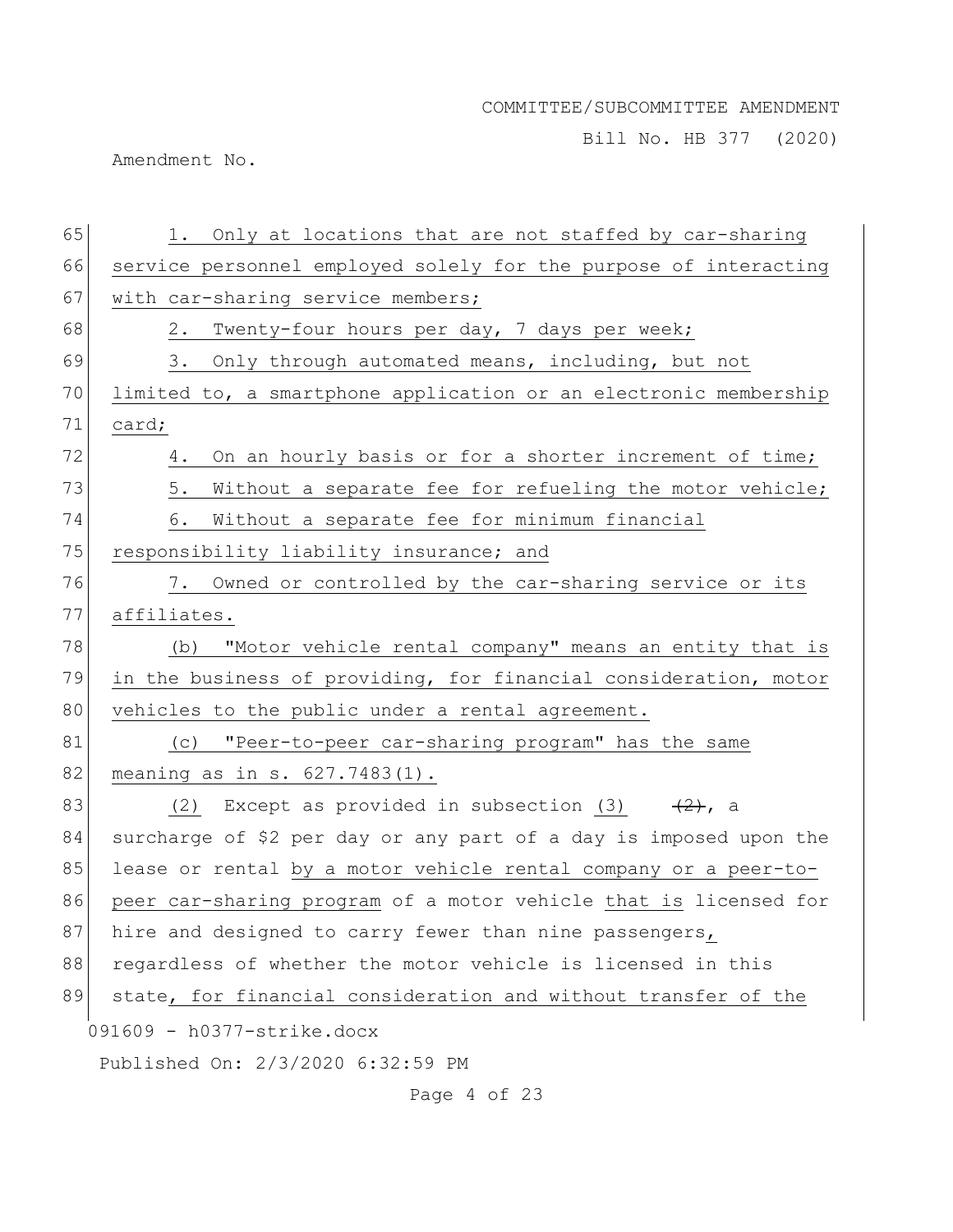Bill No. HB 377 (2020)

Amendment No.

| 65 | 1. Only at locations that are not staffed by car-sharing          |
|----|-------------------------------------------------------------------|
| 66 | service personnel employed solely for the purpose of interacting  |
| 67 | with car-sharing service members;                                 |
| 68 | Twenty-four hours per day, 7 days per week;<br>2.                 |
| 69 | Only through automated means, including, but not<br>3.            |
| 70 | limited to, a smartphone application or an electronic membership  |
| 71 | card;                                                             |
| 72 | On an hourly basis or for a shorter increment of time;<br>4.      |
| 73 | Without a separate fee for refueling the motor vehicle;<br>5.     |
| 74 | Without a separate fee for minimum financial<br>6.                |
| 75 | responsibility liability insurance; and                           |
| 76 | 7. Owned or controlled by the car-sharing service or its          |
| 77 | affiliates.                                                       |
| 78 | "Motor vehicle rental company" means an entity that is<br>(b)     |
| 79 | in the business of providing, for financial consideration, motor  |
| 80 | vehicles to the public under a rental agreement.                  |
| 81 | "Peer-to-peer car-sharing program" has the same<br>(C)            |
| 82 | meaning as in s. $627.7483(1)$ .                                  |
| 83 | Except as provided in subsection (3) $(2)$ , a<br>(2)             |
| 84 | surcharge of \$2 per day or any part of a day is imposed upon the |
| 85 | lease or rental by a motor vehicle rental company or a peer-to-   |
| 86 | peer car-sharing program of a motor vehicle that is licensed for  |
| 87 | hire and designed to carry fewer than nine passengers,            |
| 88 | regardless of whether the motor vehicle is licensed in this       |
| 89 | state, for financial consideration and without transfer of the    |
|    | 091609 - h0377-strike.docx                                        |
|    | Published On: 2/3/2020 6:32:59 PM                                 |
|    | Page 4 of 23                                                      |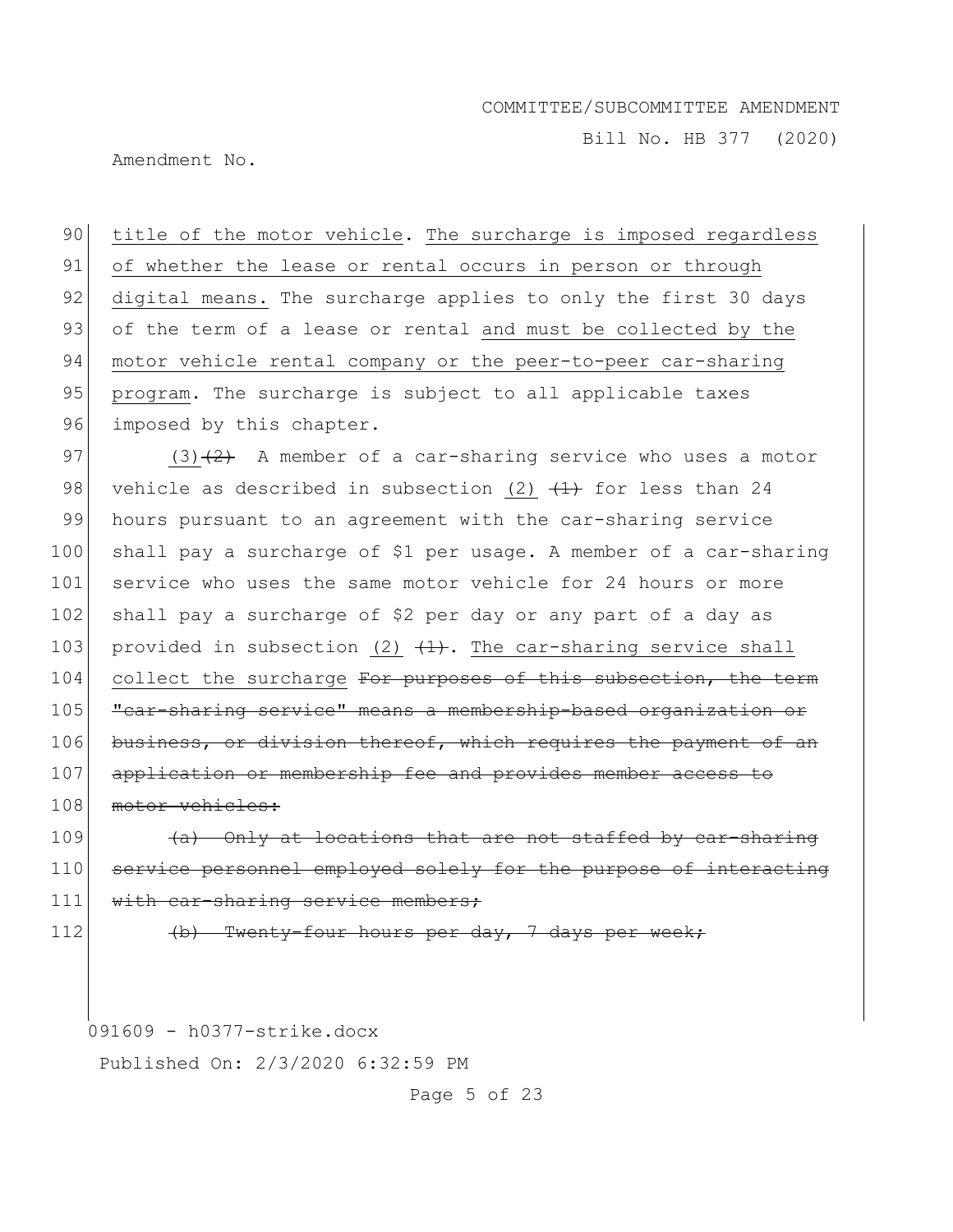Bill No. HB 377 (2020)

Amendment No.

90 title of the motor vehicle. The surcharge is imposed regardless 91 of whether the lease or rental occurs in person or through 92 digital means. The surcharge applies to only the first 30 days 93 of the term of a lease or rental and must be collected by the 94 motor vehicle rental company or the peer-to-peer car-sharing 95 program. The surcharge is subject to all applicable taxes 96 imposed by this chapter. 97 (3) $(3)$  A member of a car-sharing service who uses a motor 98 vehicle as described in subsection (2)  $(1)$  for less than 24 99 hours pursuant to an agreement with the car-sharing service 100 shall pay a surcharge of \$1 per usage. A member of a car-sharing 101 service who uses the same motor vehicle for 24 hours or more 102 shall pay a surcharge of \$2 per day or any part of a day as 103 provided in subsection (2)  $(1)$ . The car-sharing service shall 104 collect the surcharge For purposes of this subsection, the term 105 **"**car-sharing service" means a membership-based organization or 106 business, or division thereof, which requires the payment of an 107 application or membership fee and provides member access to 108 motor vehicles:

 $109$  (a) Only at locations that are not staffed by car-sharing 110 service personnel employed solely for the purpose of interacting 111 with car-sharing service members;

112 (b) Twenty-four hours per day, 7 days per week;

091609 - h0377-strike.docx

Published On: 2/3/2020 6:32:59 PM

Page 5 of 23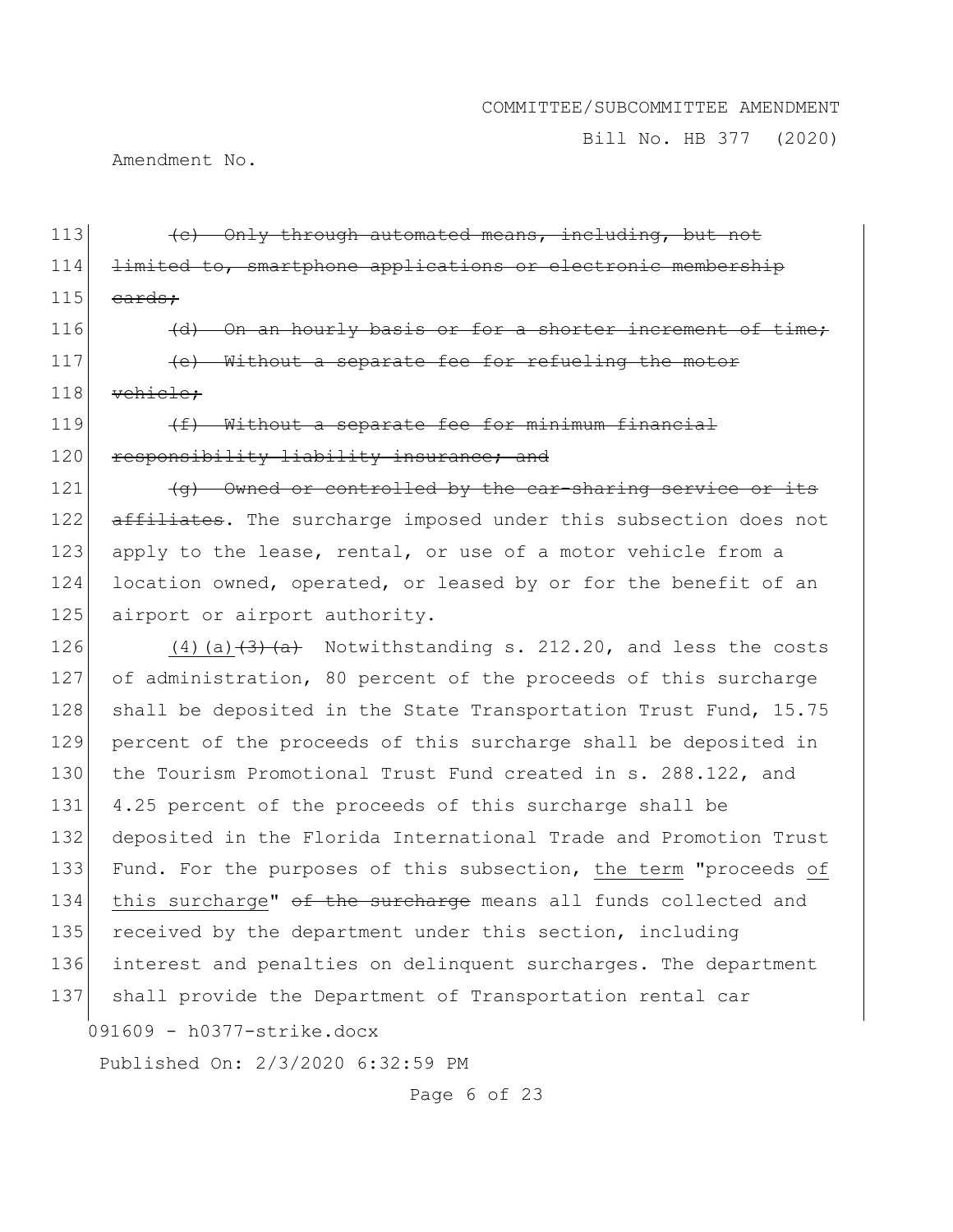Bill No. HB 377 (2020)

Amendment No.

113 **(a)** Only through automated means, including, but not 114 limited to, smartphone applications or electronic membership  $115$  cards;  $116$  (d) On an hourly basis or for a shorter increment of time; 117 **(e)** Without a separate fee for refueling the motor 118 vehicle; 119  $(f)$  Without a separate fee for minimum financial 120 responsibility liability insurance; and 121 (g) Owned or controlled by the car-sharing service or its 122 affiliates. The surcharge imposed under this subsection does not

123 apply to the lease, rental, or use of a motor vehicle from a 124 location owned, operated, or leased by or for the benefit of an 125 airport or airport authority.

126  $(4)$  (a)  $\left(\frac{3}{4}\right)$  (a)  $\left(\frac{1}{4}\right)$  Notwithstanding s. 212.20, and less the costs 127 of administration, 80 percent of the proceeds of this surcharge 128 shall be deposited in the State Transportation Trust Fund, 15.75 129 percent of the proceeds of this surcharge shall be deposited in 130 the Tourism Promotional Trust Fund created in s. 288.122, and 131 4.25 percent of the proceeds of this surcharge shall be 132 deposited in the Florida International Trade and Promotion Trust 133 Fund. For the purposes of this subsection, the term "proceeds of 134 this surcharge" of the surcharge means all funds collected and 135 received by the department under this section, including 136 interest and penalties on delinquent surcharges. The department 137 shall provide the Department of Transportation rental car

091609 - h0377-strike.docx

Published On: 2/3/2020 6:32:59 PM

Page 6 of 23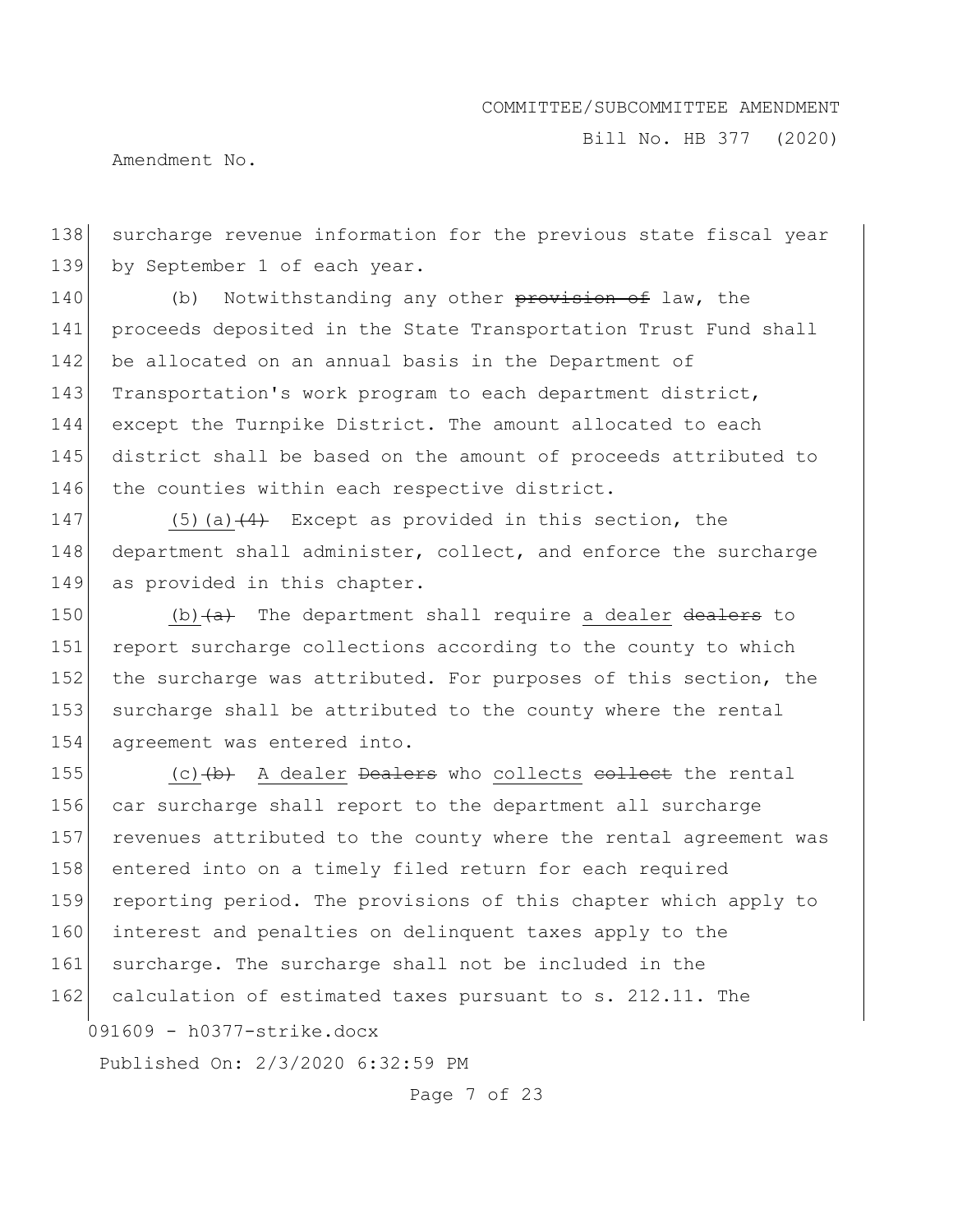Bill No. HB 377 (2020)

Amendment No.

138 surcharge revenue information for the previous state fiscal year 139 by September 1 of each year.

140 (b) Notwithstanding any other provision of law, the 141 proceeds deposited in the State Transportation Trust Fund shall 142 be allocated on an annual basis in the Department of 143 Transportation's work program to each department district, 144 except the Turnpike District. The amount allocated to each 145 district shall be based on the amount of proceeds attributed to 146 the counties within each respective district.

147 (5)(a) $\left(4\right)$  Except as provided in this section, the 148 department shall administer, collect, and enforce the surcharge 149 as provided in this chapter.

150 (b) $\left(\frac{a}{b}\right)$  The department shall require a dealer dealers to 151 report surcharge collections according to the county to which 152 the surcharge was attributed. For purposes of this section, the 153 surcharge shall be attributed to the county where the rental 154 agreement was entered into.

155  $(c)$  (c)  $(b)$  A dealer Dealers who collects collect the rental 156 car surcharge shall report to the department all surcharge 157 revenues attributed to the county where the rental agreement was 158 entered into on a timely filed return for each required 159 reporting period. The provisions of this chapter which apply to 160 interest and penalties on delinquent taxes apply to the 161 surcharge. The surcharge shall not be included in the 162 calculation of estimated taxes pursuant to s. 212.11. The

091609 - h0377-strike.docx

Published On: 2/3/2020 6:32:59 PM

Page 7 of 23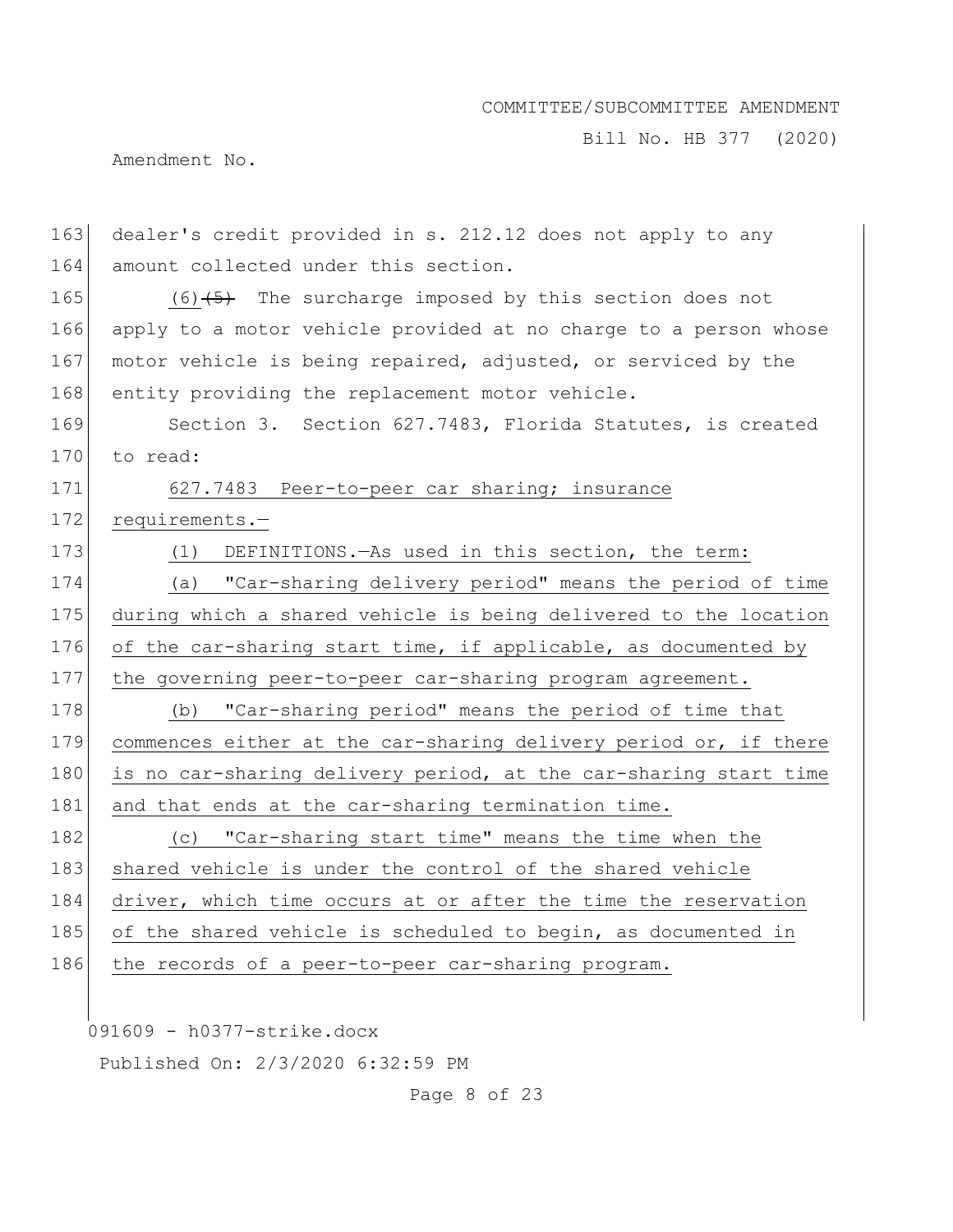Bill No. HB 377 (2020)

Amendment No.

163 dealer's credit provided in s. 212.12 does not apply to any 164 amount collected under this section. 165  $(6)$   $(5)$  The surcharge imposed by this section does not 166 apply to a motor vehicle provided at no charge to a person whose 167 motor vehicle is being repaired, adjusted, or serviced by the 168 entity providing the replacement motor vehicle. 169 Section 3. Section 627.7483, Florida Statutes, is created 170 to read: 171 627.7483 Peer-to-peer car sharing; insurance 172 requirements.-173 (1) DEFINITIONS.—As used in this section, the term: 174 (a) "Car-sharing delivery period" means the period of time 175 during which a shared vehicle is being delivered to the location 176 of the car-sharing start time, if applicable, as documented by 177 the governing peer-to-peer car-sharing program agreement. 178 (b) "Car-sharing period" means the period of time that 179 commences either at the car-sharing delivery period or, if there 180 is no car-sharing delivery period, at the car-sharing start time 181 and that ends at the car-sharing termination time. 182 (c) "Car-sharing start time" means the time when the 183 shared vehicle is under the control of the shared vehicle 184 driver, which time occurs at or after the time the reservation 185 of the shared vehicle is scheduled to begin, as documented in 186 the records of a peer-to-peer car-sharing program.

091609 - h0377-strike.docx

Published On: 2/3/2020 6:32:59 PM

Page 8 of 23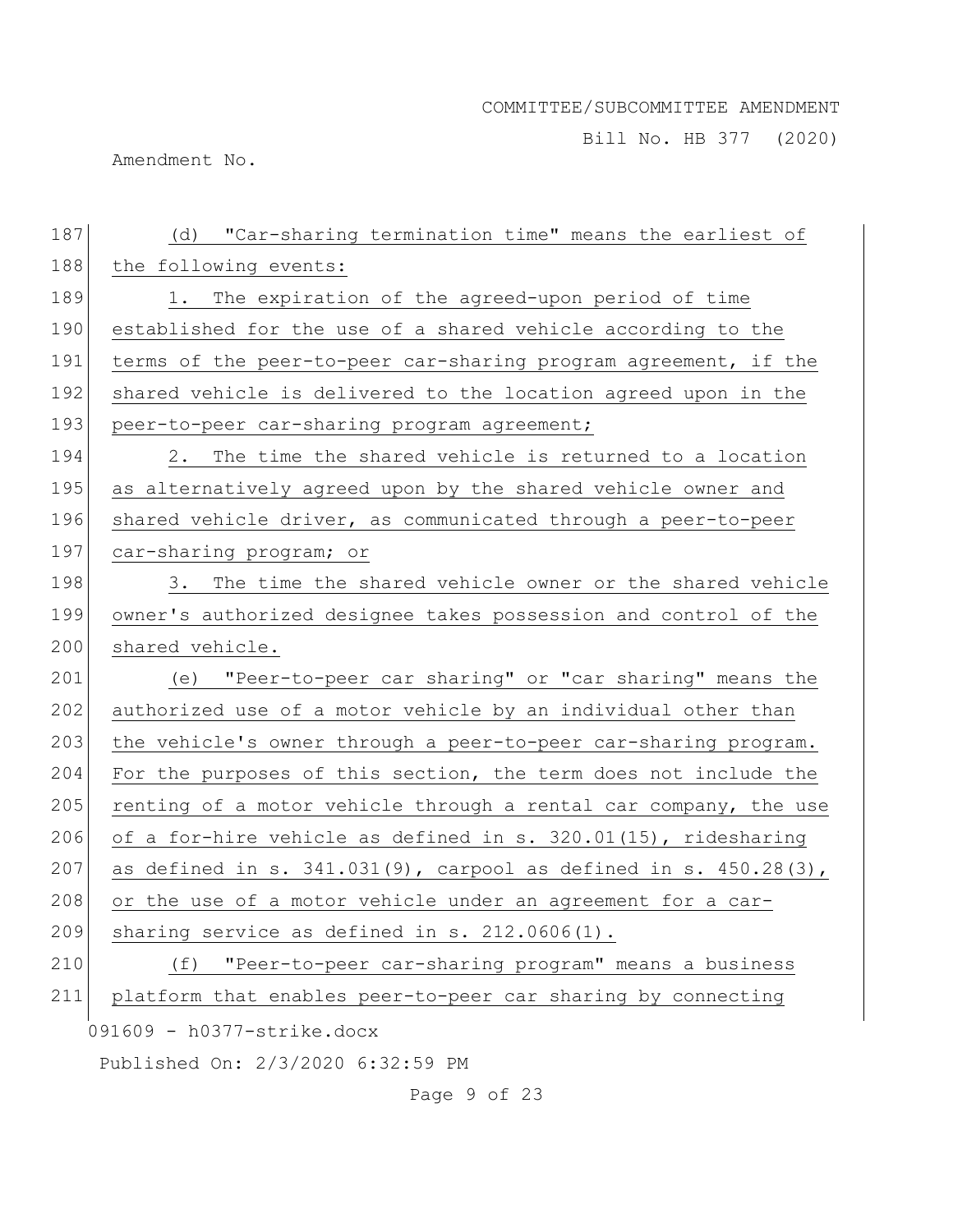Bill No. HB 377 (2020)

Amendment No.

| 187 | (d) "Car-sharing termination time" means the earliest of               |
|-----|------------------------------------------------------------------------|
| 188 | the following events:                                                  |
| 189 | 1. The expiration of the agreed-upon period of time                    |
| 190 | established for the use of a shared vehicle according to the           |
| 191 | terms of the peer-to-peer car-sharing program agreement, if the        |
| 192 | shared vehicle is delivered to the location agreed upon in the         |
| 193 | peer-to-peer car-sharing program agreement;                            |
| 194 | 2. The time the shared vehicle is returned to a location               |
| 195 | as alternatively agreed upon by the shared vehicle owner and           |
| 196 | shared vehicle driver, as communicated through a peer-to-peer          |
| 197 | car-sharing program; or                                                |
| 198 | 3. The time the shared vehicle owner or the shared vehicle             |
| 199 | owner's authorized designee takes possession and control of the        |
| 200 | shared vehicle.                                                        |
| 201 | (e) "Peer-to-peer car sharing" or "car sharing" means the              |
| 202 | authorized use of a motor vehicle by an individual other than          |
| 203 | the vehicle's owner through a peer-to-peer car-sharing program.        |
| 204 | For the purposes of this section, the term does not include the        |
| 205 | renting of a motor vehicle through a rental car company, the use       |
| 206 | of a for-hire vehicle as defined in s. 320.01(15), ridesharing         |
| 207 | as defined in s. $341.031(9)$ , carpool as defined in s. $450.28(3)$ , |
| 208 | or the use of a motor vehicle under an agreement for a car-            |
| 209 | sharing service as defined in s. 212.0606(1).                          |
| 210 | "Peer-to-peer car-sharing program" means a business<br>(f)             |
| 211 | platform that enables peer-to-peer car sharing by connecting           |
|     | 091609 - h0377-strike.docx                                             |
|     | Published On: 2/3/2020 6:32:59 PM                                      |

Page 9 of 23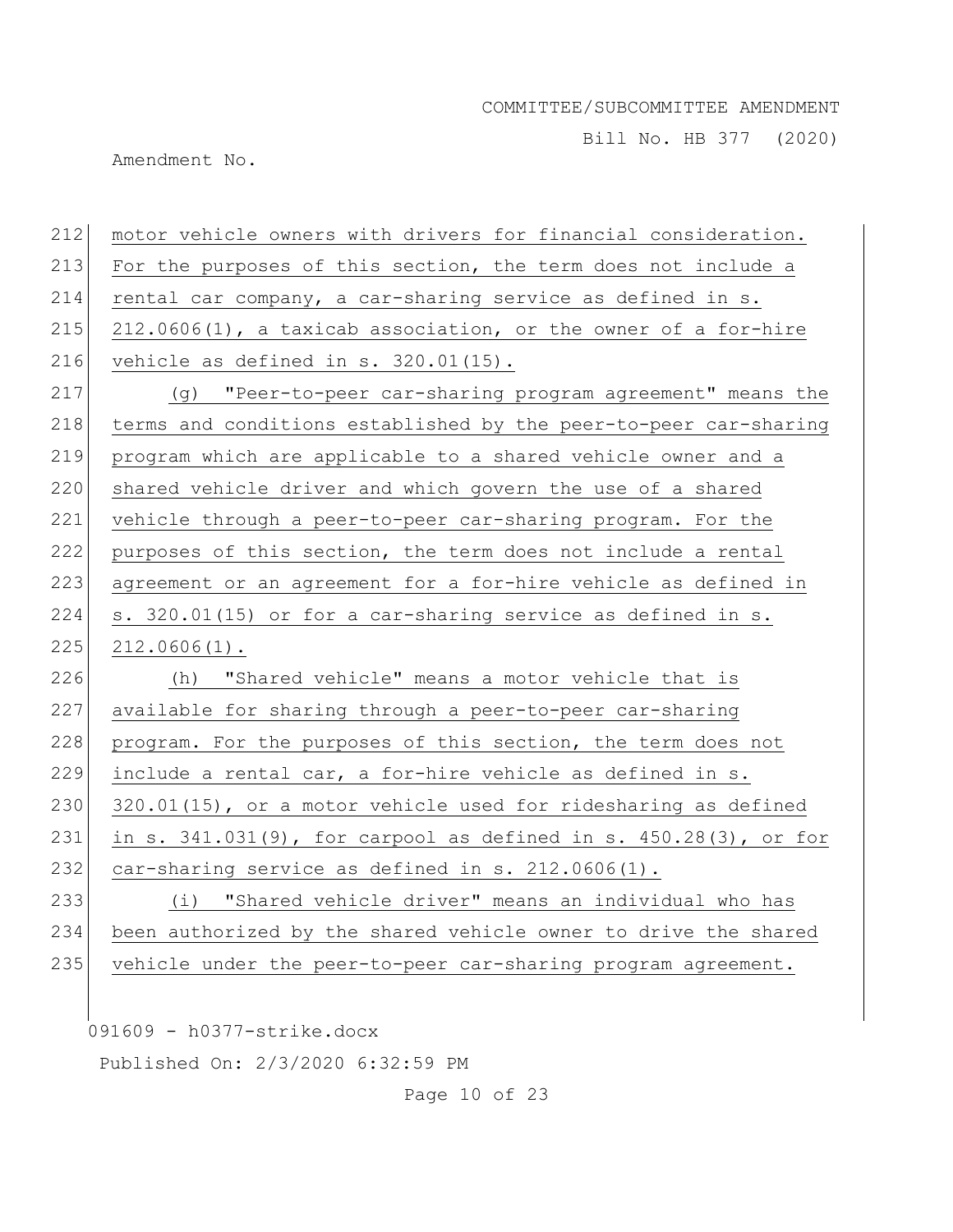Bill No. HB 377 (2020)

Amendment No.

| 212 | motor vehicle owners with drivers for financial consideration.         |
|-----|------------------------------------------------------------------------|
| 213 | For the purposes of this section, the term does not include a          |
| 214 | rental car company, a car-sharing service as defined in s.             |
| 215 | $212.0606(1)$ , a taxicab association, or the owner of a for-hire      |
| 216 | vehicle as defined in $s. 320.01(15)$ .                                |
| 217 | (g) "Peer-to-peer car-sharing program agreement" means the             |
| 218 | terms and conditions established by the peer-to-peer car-sharing       |
| 219 | program which are applicable to a shared vehicle owner and a           |
| 220 | shared vehicle driver and which govern the use of a shared             |
| 221 | vehicle through a peer-to-peer car-sharing program. For the            |
| 222 | purposes of this section, the term does not include a rental           |
| 223 | agreement or an agreement for a for-hire vehicle as defined in         |
| 224 | s. 320.01(15) or for a car-sharing service as defined in s.            |
| 225 | $212.0606(1)$ .                                                        |
| 226 | (h) "Shared vehicle" means a motor vehicle that is                     |
| 227 | available for sharing through a peer-to-peer car-sharing               |
| 228 | program. For the purposes of this section, the term does not           |
| 229 | include a rental car, a for-hire vehicle as defined in s.              |
| 230 | 320.01(15), or a motor vehicle used for ridesharing as defined         |
| 231 | in s. $341.031(9)$ , for carpool as defined in s. $450.28(3)$ , or for |
| 232 | car-sharing service as defined in s. 212.0606(1).                      |
| 233 | (i) "Shared vehicle driver" means an individual who has                |
| 234 | been authorized by the shared vehicle owner to drive the shared        |
| 235 | vehicle under the peer-to-peer car-sharing program agreement.          |
|     |                                                                        |
|     |                                                                        |

091609 - h0377-strike.docx

Published On: 2/3/2020 6:32:59 PM

Page 10 of 23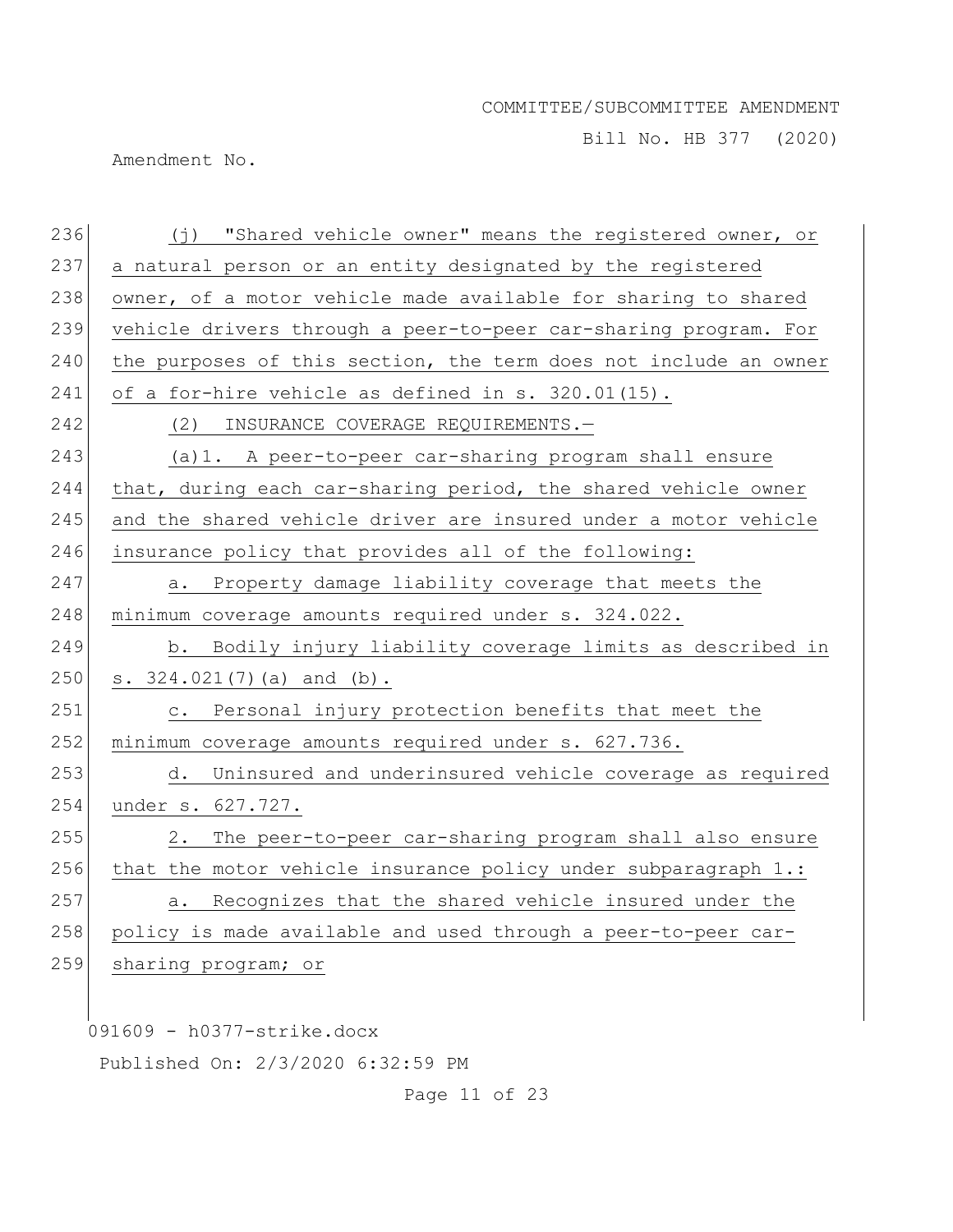Bill No. HB 377 (2020)

Amendment No.

| 236 | (j) "Shared vehicle owner" means the registered owner, or         |
|-----|-------------------------------------------------------------------|
| 237 | a natural person or an entity designated by the registered        |
| 238 | owner, of a motor vehicle made available for sharing to shared    |
| 239 | vehicle drivers through a peer-to-peer car-sharing program. For   |
| 240 | the purposes of this section, the term does not include an owner  |
| 241 | of a for-hire vehicle as defined in s. 320.01(15).                |
| 242 | INSURANCE COVERAGE REQUIREMENTS.-<br>(2)                          |
| 243 | (a) 1. A peer-to-peer car-sharing program shall ensure            |
| 244 | that, during each car-sharing period, the shared vehicle owner    |
| 245 | and the shared vehicle driver are insured under a motor vehicle   |
| 246 | insurance policy that provides all of the following:              |
| 247 | Property damage liability coverage that meets the<br>a.           |
| 248 | minimum coverage amounts required under s. 324.022.               |
| 249 | b. Bodily injury liability coverage limits as described in        |
| 250 | s. $324.021(7)$ (a) and (b).                                      |
| 251 | Personal injury protection benefits that meet the<br>$\circ$ .    |
| 252 | minimum coverage amounts required under s. 627.736.               |
| 253 | Uninsured and underinsured vehicle coverage as required<br>d.     |
| 254 | under s. 627.727.                                                 |
| 255 | 2.<br>The peer-to-peer car-sharing program shall also ensure      |
| 256 | that the motor vehicle insurance policy under subparagraph $1$ .: |
| 257 | Recognizes that the shared vehicle insured under the<br>а.        |
| 258 | policy is made available and used through a peer-to-peer car-     |
| 259 | sharing program; or                                               |
|     |                                                                   |
|     | 091609 - h0377-strike.docx                                        |

Published On: 2/3/2020 6:32:59 PM

Page 11 of 23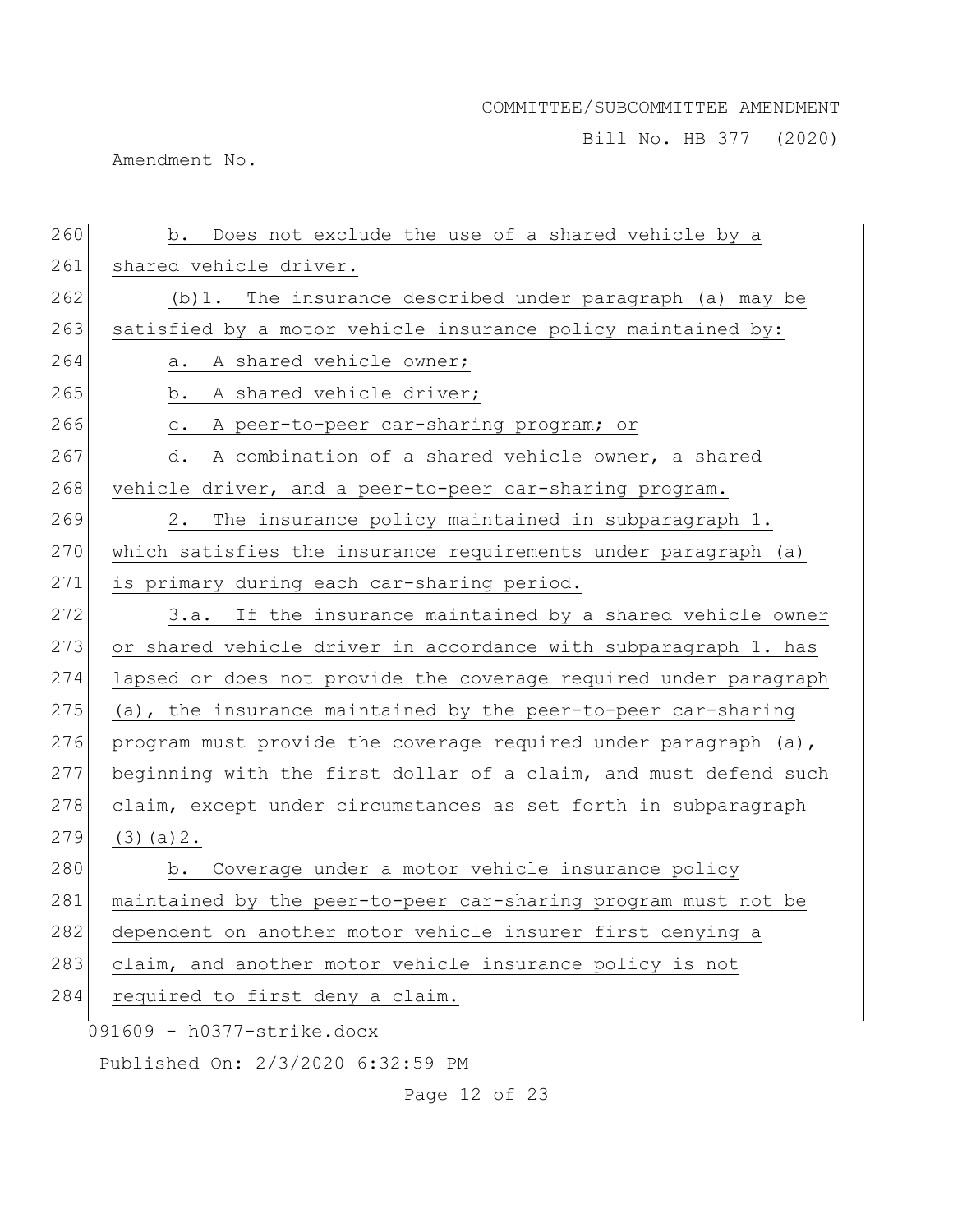Bill No. HB 377 (2020)

Amendment No.

| 260 | b. Does not exclude the use of a shared vehicle by a             |
|-----|------------------------------------------------------------------|
| 261 | shared vehicle driver.                                           |
| 262 | (b) 1. The insurance described under paragraph (a) may be        |
| 263 | satisfied by a motor vehicle insurance policy maintained by:     |
| 264 | A shared vehicle owner;<br>а.                                    |
| 265 | A shared vehicle driver;<br>b.                                   |
| 266 | A peer-to-peer car-sharing program; or<br>$\mathtt{C}$ .         |
| 267 | A combination of a shared vehicle owner, a shared<br>d.          |
| 268 |                                                                  |
|     | vehicle driver, and a peer-to-peer car-sharing program.          |
| 269 | 2.<br>The insurance policy maintained in subparagraph 1.         |
| 270 | which satisfies the insurance requirements under paragraph (a)   |
| 271 | is primary during each car-sharing period.                       |
| 272 | If the insurance maintained by a shared vehicle owner<br>3.a.    |
| 273 | or shared vehicle driver in accordance with subparagraph 1. has  |
| 274 | lapsed or does not provide the coverage required under paragraph |
| 275 | (a), the insurance maintained by the peer-to-peer car-sharing    |
| 276 | program must provide the coverage required under paragraph (a),  |
| 277 | beginning with the first dollar of a claim, and must defend such |
| 278 | claim, except under circumstances as set forth in subparagraph   |
| 279 | (3)(a)2.                                                         |
| 280 | Coverage under a motor vehicle insurance policy<br>b.            |
| 281 | maintained by the peer-to-peer car-sharing program must not be   |
| 282 | dependent on another motor vehicle insurer first denying a       |
| 283 | claim, and another motor vehicle insurance policy is not         |
| 284 | required to first deny a claim.                                  |
|     | 091609 - h0377-strike.docx                                       |
|     | Published On: 2/3/2020 6:32:59 PM                                |
|     |                                                                  |
|     | Page 12 of 23                                                    |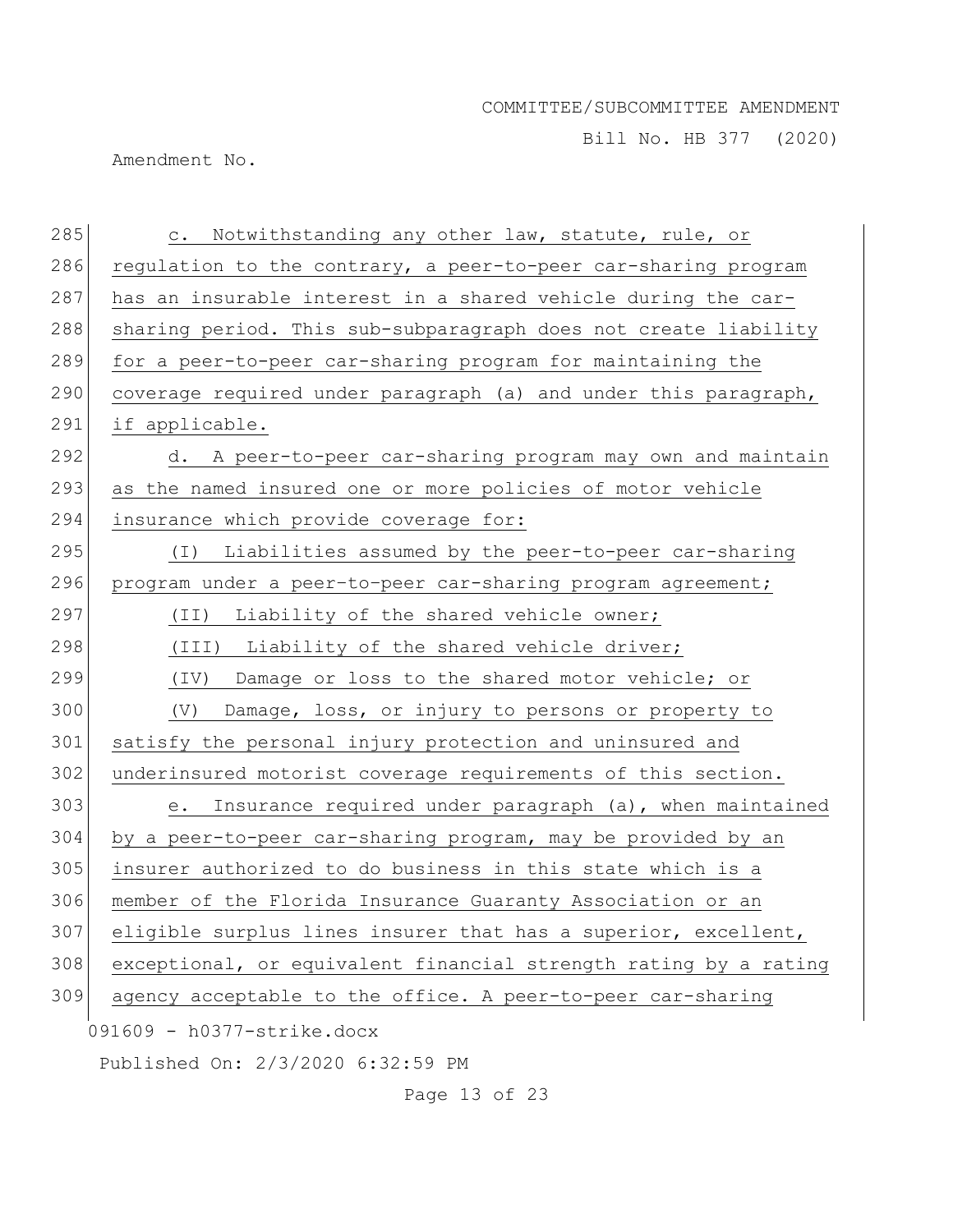Bill No. HB 377 (2020)

Amendment No.

| 285 | Notwithstanding any other law, statute, rule, or<br>$\mathtt{C}$ . |
|-----|--------------------------------------------------------------------|
| 286 | regulation to the contrary, a peer-to-peer car-sharing program     |
| 287 | has an insurable interest in a shared vehicle during the car-      |
| 288 | sharing period. This sub-subparagraph does not create liability    |
| 289 | for a peer-to-peer car-sharing program for maintaining the         |
| 290 | coverage required under paragraph (a) and under this paragraph,    |
| 291 | if applicable.                                                     |
| 292 | A peer-to-peer car-sharing program may own and maintain<br>d.      |
| 293 | as the named insured one or more policies of motor vehicle         |
| 294 | insurance which provide coverage for:                              |
| 295 | Liabilities assumed by the peer-to-peer car-sharing<br>( I )       |
| 296 | program under a peer-to-peer car-sharing program agreement;        |
| 297 | Liability of the shared vehicle owner;<br>(TI)                     |
| 298 | Liability of the shared vehicle driver;<br>(III)                   |
| 299 | Damage or loss to the shared motor vehicle; or<br>(TV)             |
| 300 | (V)<br>Damage, loss, or injury to persons or property to           |
| 301 | satisfy the personal injury protection and uninsured and           |
| 302 | underinsured motorist coverage requirements of this section.       |
| 303 | Insurance required under paragraph (a), when maintained<br>е.      |
| 304 | by a peer-to-peer car-sharing program, may be provided by an       |
| 305 | insurer authorized to do business in this state which is a         |
| 306 | member of the Florida Insurance Guaranty Association or an         |
| 307 | eligible surplus lines insurer that has a superior, excellent,     |
| 308 | exceptional, or equivalent financial strength rating by a rating   |
| 309 | agency acceptable to the office. A peer-to-peer car-sharing        |
|     | 091609 - h0377-strike.docx                                         |
|     | Published On: 2/3/2020 6:32:59 PM                                  |
|     |                                                                    |

Page 13 of 23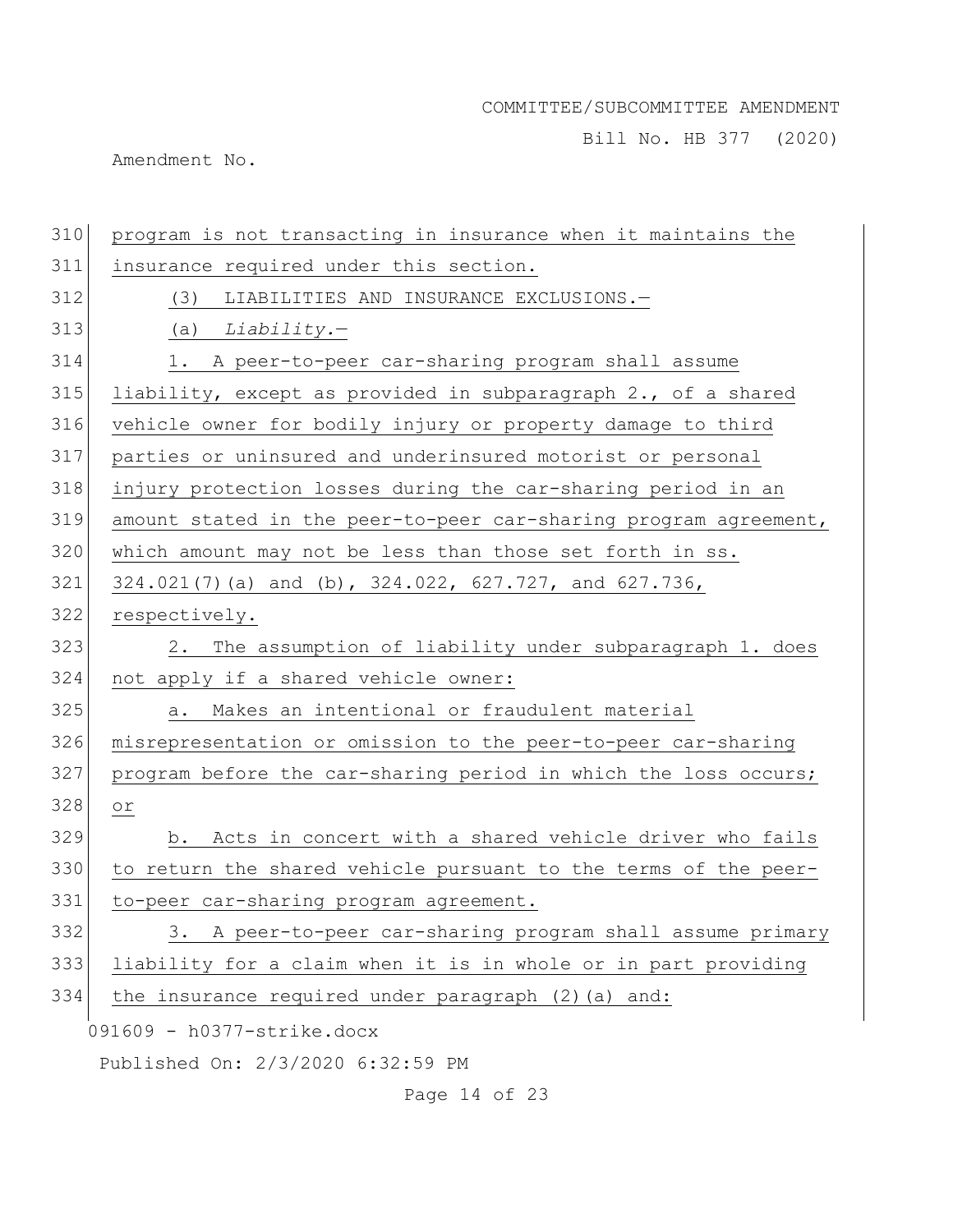Bill No. HB 377 (2020)

Amendment No.

| 310 | program is not transacting in insurance when it maintains the    |
|-----|------------------------------------------------------------------|
| 311 | insurance required under this section.                           |
| 312 | LIABILITIES AND INSURANCE EXCLUSIONS.-<br>(3)                    |
| 313 | (a) $Liability.$                                                 |
| 314 | 1. A peer-to-peer car-sharing program shall assume               |
| 315 | liability, except as provided in subparagraph 2., of a shared    |
| 316 | vehicle owner for bodily injury or property damage to third      |
| 317 | parties or uninsured and underinsured motorist or personal       |
| 318 | injury protection losses during the car-sharing period in an     |
| 319 | amount stated in the peer-to-peer car-sharing program agreement, |
| 320 | which amount may not be less than those set forth in ss.         |
| 321 | 324.021(7)(a) and (b), 324.022, 627.727, and 627.736,            |
| 322 | respectively.                                                    |
| 323 | The assumption of liability under subparagraph 1. does<br>2.     |
| 324 | not apply if a shared vehicle owner:                             |
| 325 | Makes an intentional or fraudulent material<br>a.                |
| 326 | misrepresentation or omission to the peer-to-peer car-sharing    |
| 327 | program before the car-sharing period in which the loss occurs;  |
| 328 | Оr                                                               |
| 329 | b. Acts in concert with a shared vehicle driver who fails        |
| 330 | to return the shared vehicle pursuant to the terms of the peer-  |
| 331 | to-peer car-sharing program agreement.                           |
| 332 | 3. A peer-to-peer car-sharing program shall assume primary       |
| 333 | liability for a claim when it is in whole or in part providing   |
| 334 | the insurance required under paragraph (2) (a) and:              |
|     | 091609 - h0377-strike.docx                                       |
|     | Published On: 2/3/2020 6:32:59 PM                                |
|     |                                                                  |

Page 14 of 23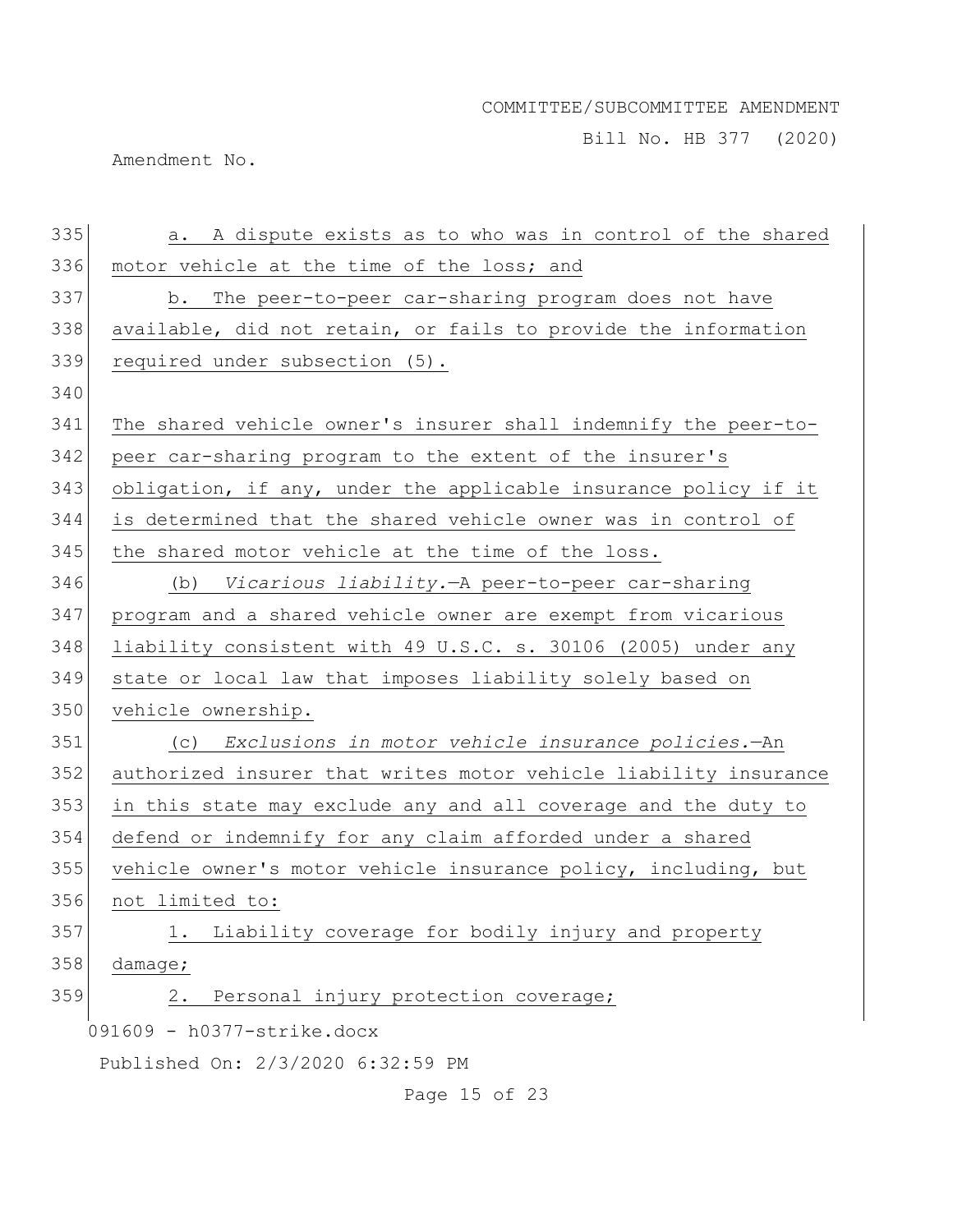Bill No. HB 377 (2020)

Amendment No.

| 335 | a. A dispute exists as to who was in control of the shared       |
|-----|------------------------------------------------------------------|
| 336 | motor vehicle at the time of the loss; and                       |
| 337 | b. The peer-to-peer car-sharing program does not have            |
| 338 | available, did not retain, or fails to provide the information   |
| 339 | required under subsection (5).                                   |
| 340 |                                                                  |
| 341 | The shared vehicle owner's insurer shall indemnify the peer-to-  |
| 342 | peer car-sharing program to the extent of the insurer's          |
| 343 | obligation, if any, under the applicable insurance policy if it  |
| 344 | is determined that the shared vehicle owner was in control of    |
| 345 | the shared motor vehicle at the time of the loss.                |
| 346 | (b) Vicarious liability. - A peer-to-peer car-sharing            |
| 347 | program and a shared vehicle owner are exempt from vicarious     |
| 348 | liability consistent with 49 U.S.C. s. 30106 (2005) under any    |
| 349 | state or local law that imposes liability solely based on        |
| 350 | vehicle ownership.                                               |
| 351 | (c) Exclusions in motor vehicle insurance policies.-An           |
| 352 | authorized insurer that writes motor vehicle liability insurance |
| 353 | in this state may exclude any and all coverage and the duty to   |
| 354 | defend or indemnify for any claim afforded under a shared        |
| 355 | vehicle owner's motor vehicle insurance policy, including, but   |
| 356 | not limited to:                                                  |
| 357 | Liability coverage for bodily injury and property<br>1.          |
| 358 | damage;                                                          |
| 359 | Personal injury protection coverage;<br>2.                       |
|     | 091609 - h0377-strike.docx                                       |
|     | Published On: 2/3/2020 6:32:59 PM                                |

Page 15 of 23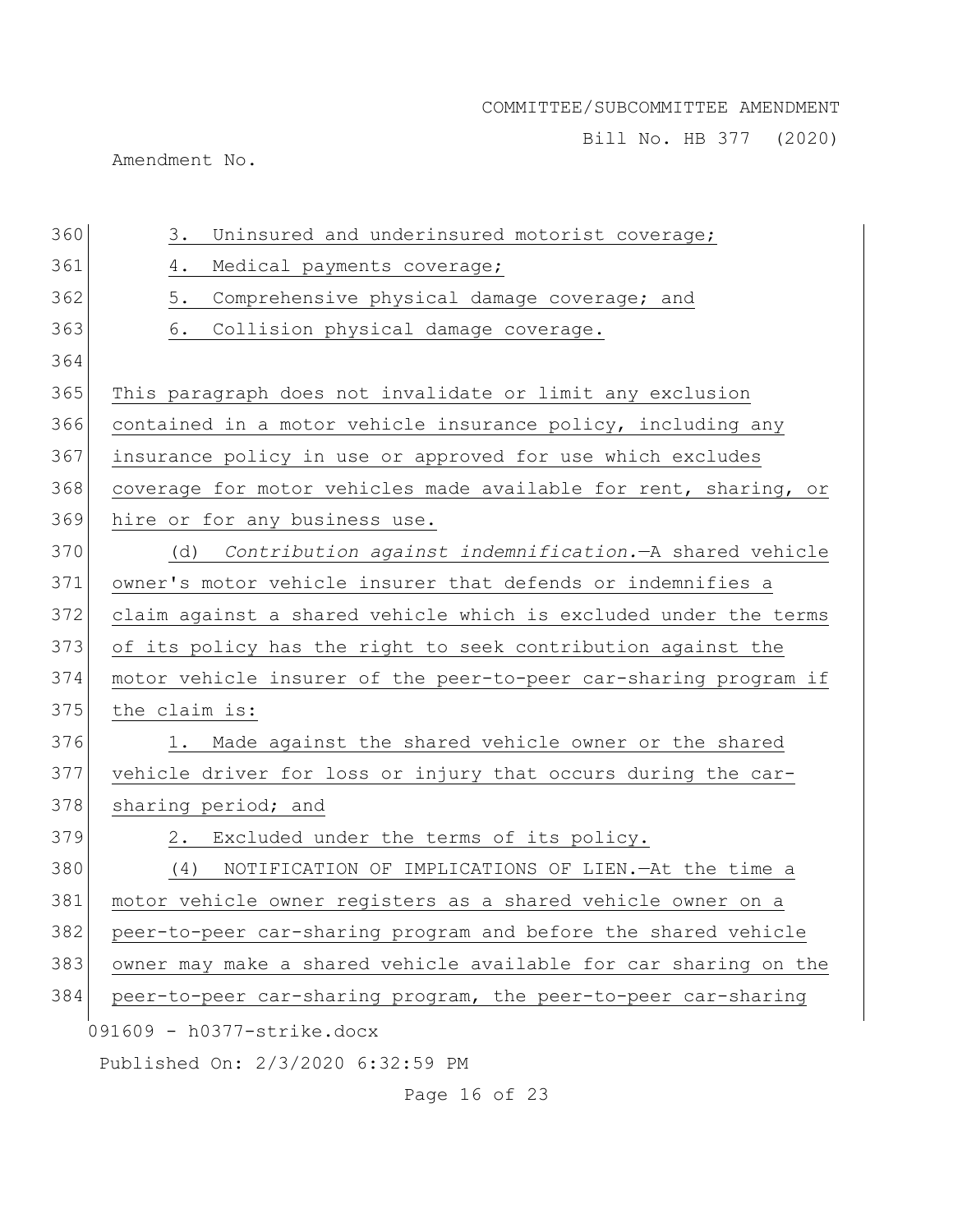Bill No. HB 377 (2020)

Amendment No.

| 360 | Uninsured and underinsured motorist coverage;<br>3.              |
|-----|------------------------------------------------------------------|
| 361 | 4.<br>Medical payments coverage;                                 |
|     |                                                                  |
| 362 | 5.<br>Comprehensive physical damage coverage; and                |
| 363 | 6.<br>Collision physical damage coverage.                        |
| 364 |                                                                  |
| 365 | This paragraph does not invalidate or limit any exclusion        |
| 366 | contained in a motor vehicle insurance policy, including any     |
| 367 | insurance policy in use or approved for use which excludes       |
| 368 | coverage for motor vehicles made available for rent, sharing, or |
| 369 | hire or for any business use.                                    |
| 370 | Contribution against indemnification. - A shared vehicle<br>(d)  |
| 371 | owner's motor vehicle insurer that defends or indemnifies a      |
| 372 | claim against a shared vehicle which is excluded under the terms |
| 373 | of its policy has the right to seek contribution against the     |
| 374 | motor vehicle insurer of the peer-to-peer car-sharing program if |
| 375 | the claim is:                                                    |
| 376 | Made against the shared vehicle owner or the shared<br>1.        |
| 377 | vehicle driver for loss or injury that occurs during the car-    |
| 378 | sharing period; and                                              |
| 379 | Excluded under the terms of its policy.<br>2.                    |
| 380 | NOTIFICATION OF IMPLICATIONS OF LIEN. - At the time a<br>(4)     |
| 381 | motor vehicle owner registers as a shared vehicle owner on a     |
| 382 | peer-to-peer car-sharing program and before the shared vehicle   |
| 383 | owner may make a shared vehicle available for car sharing on the |
| 384 | peer-to-peer car-sharing program, the peer-to-peer car-sharing   |
|     | 091609 - h0377-strike.docx                                       |
|     | Published On: 2/3/2020 6:32:59 PM                                |
|     |                                                                  |

Page 16 of 23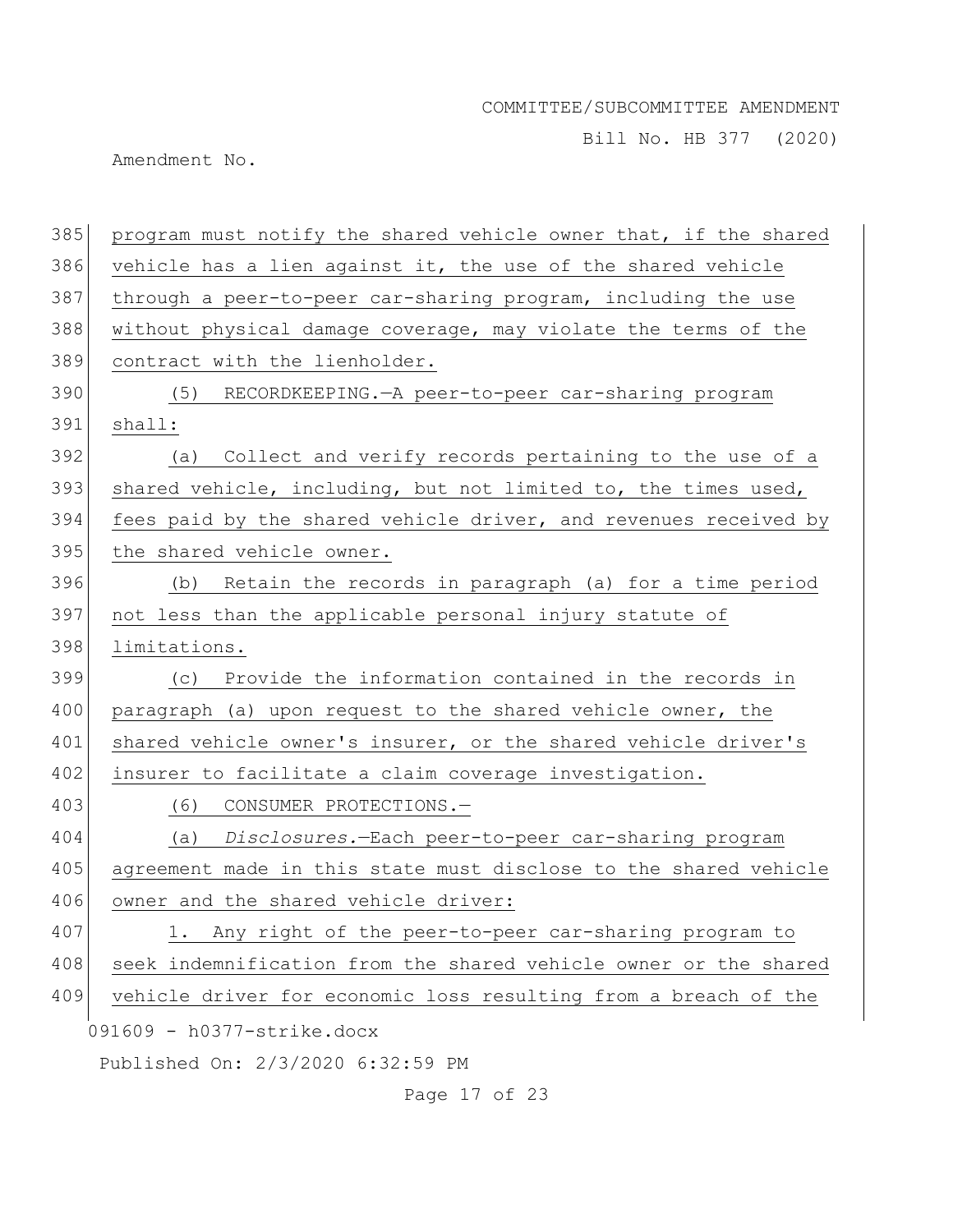Bill No. HB 377 (2020)

Amendment No.

| 385 | program must notify the shared vehicle owner that, if the shared |
|-----|------------------------------------------------------------------|
| 386 | vehicle has a lien against it, the use of the shared vehicle     |
| 387 | through a peer-to-peer car-sharing program, including the use    |
| 388 | without physical damage coverage, may violate the terms of the   |
| 389 | contract with the lienholder.                                    |
| 390 | (5) RECORDKEEPING. - A peer-to-peer car-sharing program          |
| 391 | shall:                                                           |
| 392 | Collect and verify records pertaining to the use of a<br>(a)     |
| 393 | shared vehicle, including, but not limited to, the times used,   |
| 394 | fees paid by the shared vehicle driver, and revenues received by |
| 395 | the shared vehicle owner.                                        |
| 396 | (b) Retain the records in paragraph (a) for a time period        |
| 397 | not less than the applicable personal injury statute of          |
| 398 | limitations.                                                     |
| 399 | (c) Provide the information contained in the records in          |
| 400 | paragraph (a) upon request to the shared vehicle owner, the      |
| 401 | shared vehicle owner's insurer, or the shared vehicle driver's   |
| 402 | insurer to facilitate a claim coverage investigation.            |
| 403 | (6) CONSUMER PROTECTIONS.-                                       |
| 404 | Disclosures.-Each peer-to-peer car-sharing program<br>(a)        |
| 405 | agreement made in this state must disclose to the shared vehicle |
| 406 | owner and the shared vehicle driver:                             |
| 407 | Any right of the peer-to-peer car-sharing program to<br>1.       |
| 408 | seek indemnification from the shared vehicle owner or the shared |
| 409 | vehicle driver for economic loss resulting from a breach of the  |
|     | 091609 - h0377-strike.docx                                       |
|     | Published On: 2/3/2020 6:32:59 PM                                |

Page 17 of 23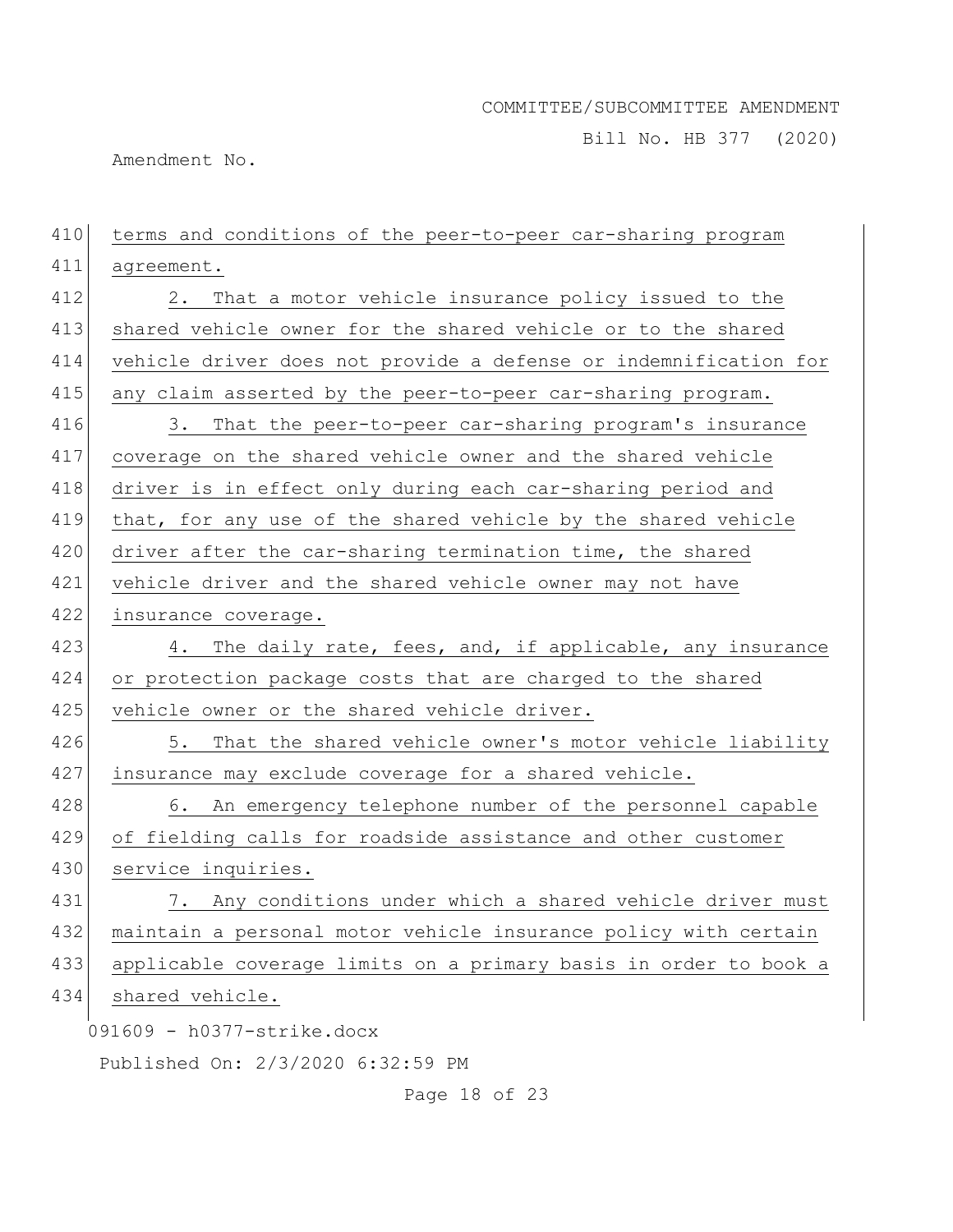Bill No. HB 377 (2020)

Amendment No.

| 410 | terms and conditions of the peer-to-peer car-sharing program     |
|-----|------------------------------------------------------------------|
| 411 | agreement.                                                       |
| 412 | That a motor vehicle insurance policy issued to the<br>2.        |
| 413 | shared vehicle owner for the shared vehicle or to the shared     |
| 414 | vehicle driver does not provide a defense or indemnification for |
| 415 | any claim asserted by the peer-to-peer car-sharing program.      |
| 416 | 3. That the peer-to-peer car-sharing program's insurance         |
| 417 | coverage on the shared vehicle owner and the shared vehicle      |
| 418 | driver is in effect only during each car-sharing period and      |
| 419 | that, for any use of the shared vehicle by the shared vehicle    |
| 420 | driver after the car-sharing termination time, the shared        |
| 421 | vehicle driver and the shared vehicle owner may not have         |
| 422 | insurance coverage.                                              |
| 423 | 4. The daily rate, fees, and, if applicable, any insurance       |
| 424 | or protection package costs that are charged to the shared       |
| 425 | vehicle owner or the shared vehicle driver.                      |
| 426 | That the shared vehicle owner's motor vehicle liability<br>5.    |
| 427 | insurance may exclude coverage for a shared vehicle.             |
| 428 | 6. An emergency telephone number of the personnel capable        |
| 429 | of fielding calls for roadside assistance and other customer     |
| 430 | service inquiries.                                               |
| 431 | 7. Any conditions under which a shared vehicle driver must       |
| 432 | maintain a personal motor vehicle insurance policy with certain  |
| 433 | applicable coverage limits on a primary basis in order to book a |
| 434 | shared vehicle.                                                  |
|     | 091609 - h0377-strike.docx                                       |
|     | Published On: 2/3/2020 6:32:59 PM                                |
|     |                                                                  |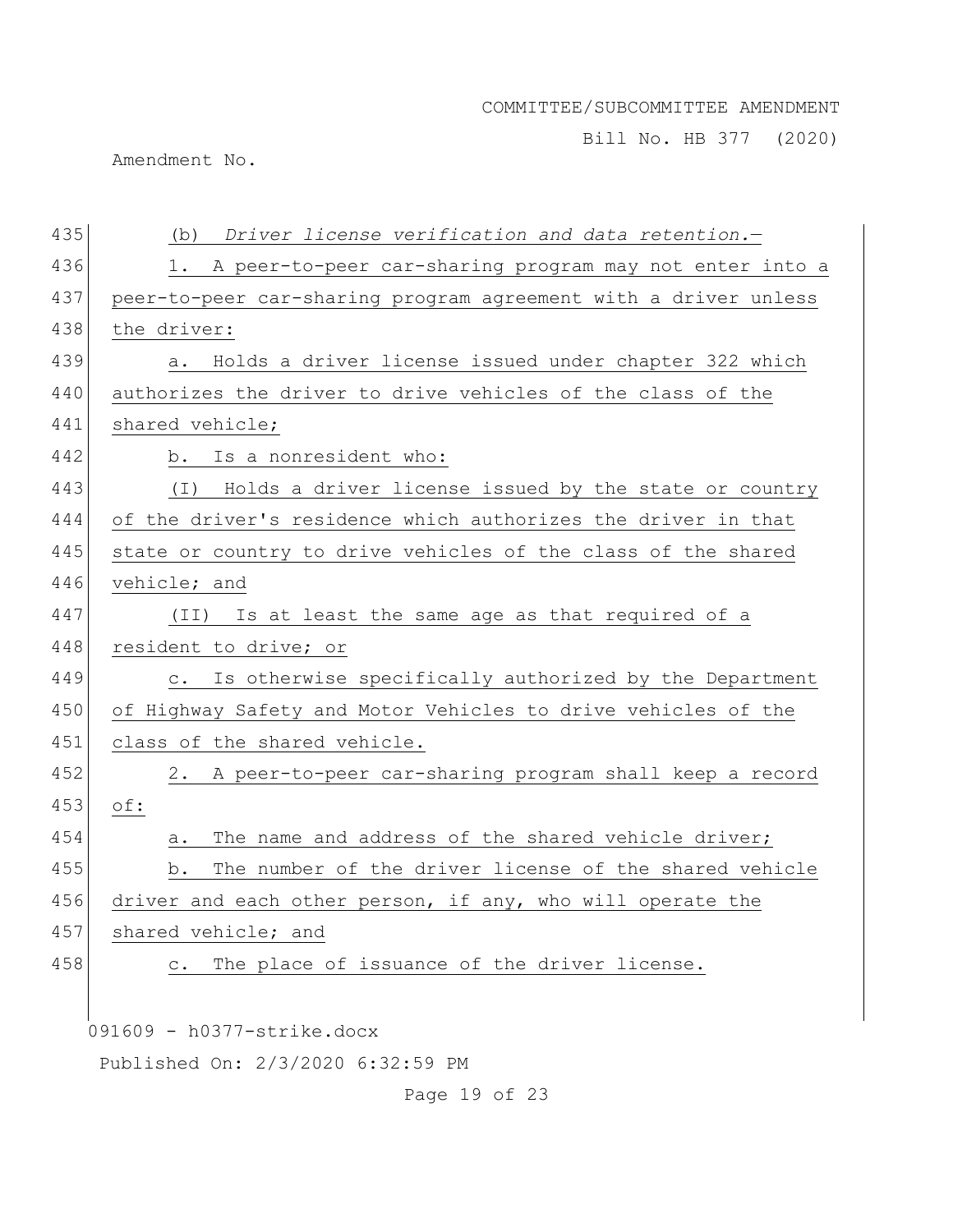Bill No. HB 377 (2020)

Amendment No.

| 435 | Driver license verification and data retention.-<br>(b)             |
|-----|---------------------------------------------------------------------|
| 436 | 1. A peer-to-peer car-sharing program may not enter into a          |
| 437 | peer-to-peer car-sharing program agreement with a driver unless     |
| 438 | the driver:                                                         |
| 439 | Holds a driver license issued under chapter 322 which<br>а.         |
| 440 | authorizes the driver to drive vehicles of the class of the         |
| 441 | shared vehicle;                                                     |
| 442 | Is a nonresident who:<br>b.                                         |
| 443 | Holds a driver license issued by the state or country<br>$(\top)$   |
| 444 | of the driver's residence which authorizes the driver in that       |
| 445 | state or country to drive vehicles of the class of the shared       |
| 446 | vehicle; and                                                        |
| 447 | Is at least the same age as that required of a<br>(II)              |
| 448 | resident to drive; or                                               |
| 449 | Is otherwise specifically authorized by the Department<br>$\circ$ . |
| 450 | of Highway Safety and Motor Vehicles to drive vehicles of the       |
| 451 | class of the shared vehicle.                                        |
| 452 | A peer-to-peer car-sharing program shall keep a record<br>2.        |
| 453 | $\circ$ f:                                                          |
| 454 | The name and address of the shared vehicle driver;<br>a.            |
| 455 | The number of the driver license of the shared vehicle<br>b.        |
| 456 | driver and each other person, if any, who will operate the          |
| 457 | shared vehicle; and                                                 |
| 458 | The place of issuance of the driver license.<br>$\circ$ .           |
|     |                                                                     |
|     | 091609 - h0377-strike.docx                                          |
|     | Published On: 2/3/2020 6:32:59 PM                                   |

Page 19 of 23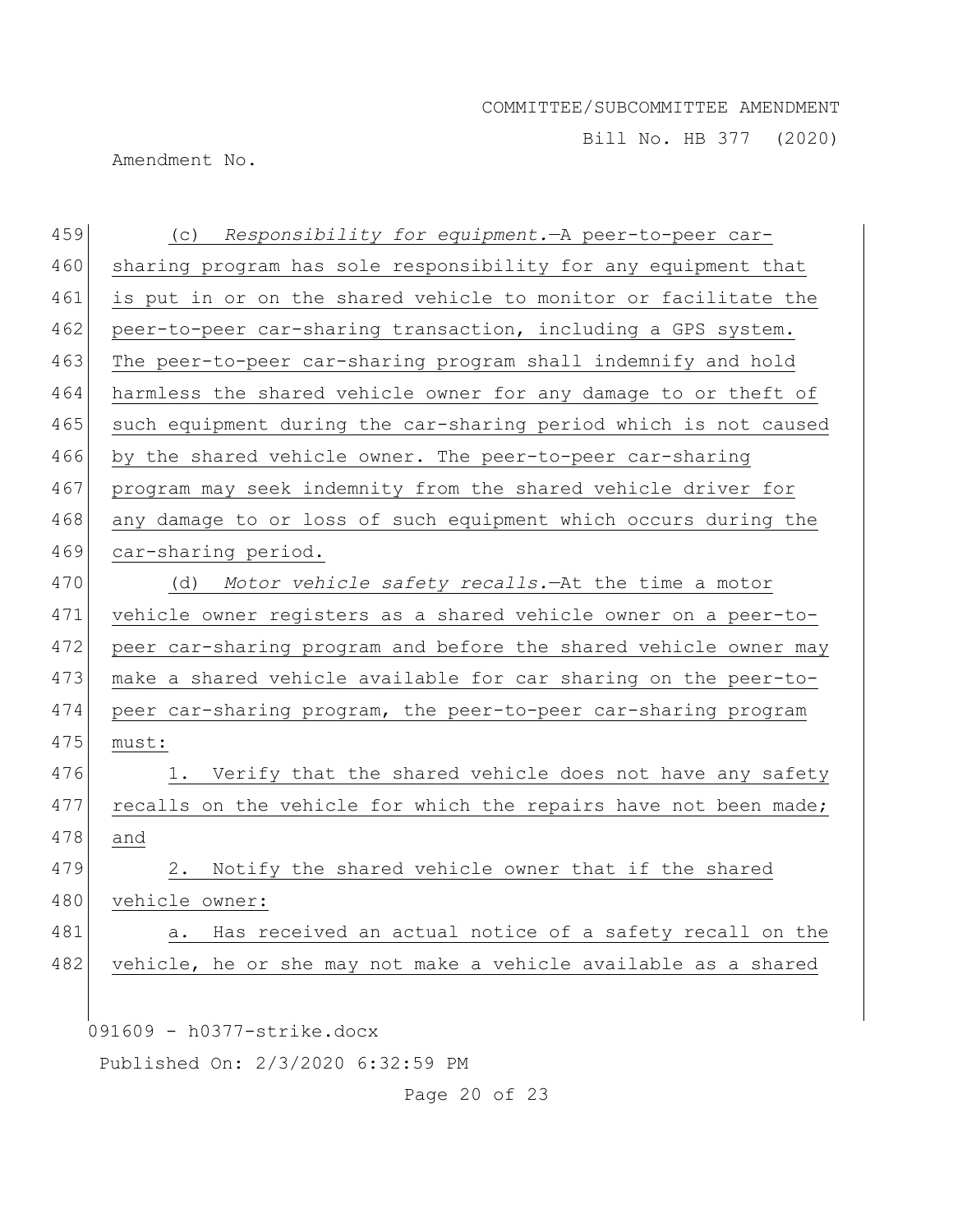Bill No. HB 377 (2020)

Amendment No.

| 459 | (c) Responsibility for equipment. - A peer-to-peer car-          |
|-----|------------------------------------------------------------------|
| 460 | sharing program has sole responsibility for any equipment that   |
| 461 | is put in or on the shared vehicle to monitor or facilitate the  |
| 462 | peer-to-peer car-sharing transaction, including a GPS system.    |
| 463 | The peer-to-peer car-sharing program shall indemnify and hold    |
| 464 | harmless the shared vehicle owner for any damage to or theft of  |
| 465 | such equipment during the car-sharing period which is not caused |
| 466 | by the shared vehicle owner. The peer-to-peer car-sharing        |
| 467 | program may seek indemnity from the shared vehicle driver for    |
| 468 | any damage to or loss of such equipment which occurs during the  |
| 469 | car-sharing period.                                              |
| 470 | Motor vehicle safety recalls. At the time a motor<br>(d)         |
| 471 | vehicle owner registers as a shared vehicle owner on a peer-to-  |
| 472 | peer car-sharing program and before the shared vehicle owner may |
| 473 | make a shared vehicle available for car sharing on the peer-to-  |
| 474 | peer car-sharing program, the peer-to-peer car-sharing program   |
| 475 | must:                                                            |
| 476 | Verify that the shared vehicle does not have any safety<br>1.    |
| 477 | recalls on the vehicle for which the repairs have not been made; |
| 478 | and                                                              |
| 479 | Notify the shared vehicle owner that if the shared<br>2.         |
| 480 | vehicle owner:                                                   |
| 481 | Has received an actual notice of a safety recall on the<br>a.    |
| 482 | vehicle, he or she may not make a vehicle available as a shared  |
|     |                                                                  |
|     | 091609 - h0377-strike.docx                                       |
|     |                                                                  |

Published On: 2/3/2020 6:32:59 PM

Page 20 of 23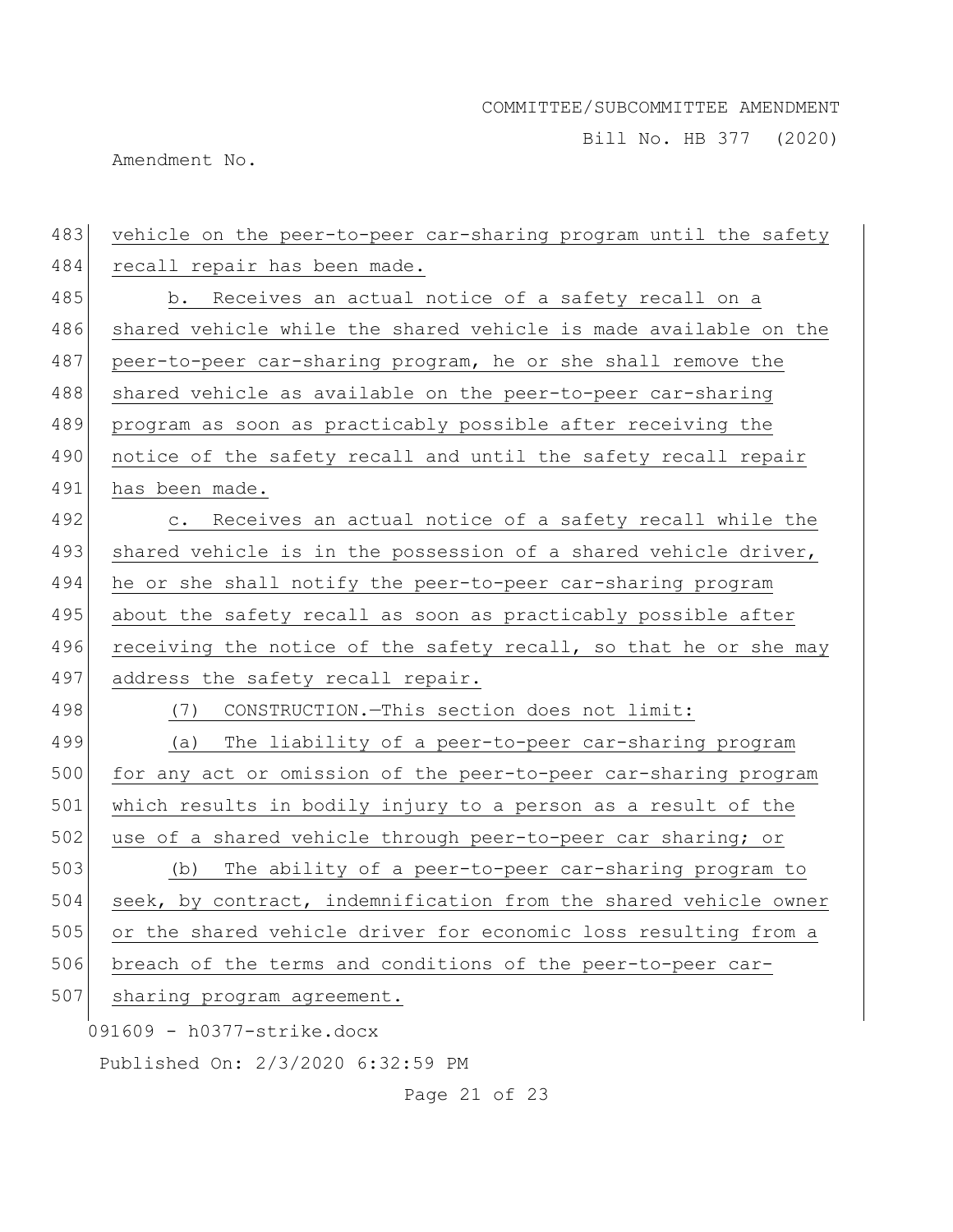Bill No. HB 377 (2020)

Amendment No.

| 483 | vehicle on the peer-to-peer car-sharing program until the safety |
|-----|------------------------------------------------------------------|
| 484 | recall repair has been made.                                     |
| 485 | b. Receives an actual notice of a safety recall on a             |
| 486 | shared vehicle while the shared vehicle is made available on the |
| 487 | peer-to-peer car-sharing program, he or she shall remove the     |
| 488 | shared vehicle as available on the peer-to-peer car-sharing      |
| 489 | program as soon as practicably possible after receiving the      |
| 490 | notice of the safety recall and until the safety recall repair   |
| 491 | has been made.                                                   |
| 492 | c. Receives an actual notice of a safety recall while the        |
| 493 | shared vehicle is in the possession of a shared vehicle driver,  |
| 494 | he or she shall notify the peer-to-peer car-sharing program      |
| 495 | about the safety recall as soon as practicably possible after    |
| 496 | receiving the notice of the safety recall, so that he or she may |
| 497 | address the safety recall repair.                                |
| 498 | CONSTRUCTION.-This section does not limit:<br>(7)                |
| 499 | (a) The liability of a peer-to-peer car-sharing program          |
| 500 | for any act or omission of the peer-to-peer car-sharing program  |
| 501 | which results in bodily injury to a person as a result of the    |
| 502 | use of a shared vehicle through peer-to-peer car sharing; or     |
| 503 | The ability of a peer-to-peer car-sharing program to<br>(b)      |
| 504 | seek, by contract, indemnification from the shared vehicle owner |
| 505 | or the shared vehicle driver for economic loss resulting from a  |
| 506 | breach of the terms and conditions of the peer-to-peer car-      |
| 507 | sharing program agreement.                                       |
|     | 091609 - h0377-strike.docx                                       |
|     | Published On: 2/3/2020 6:32:59 PM                                |

Page 21 of 23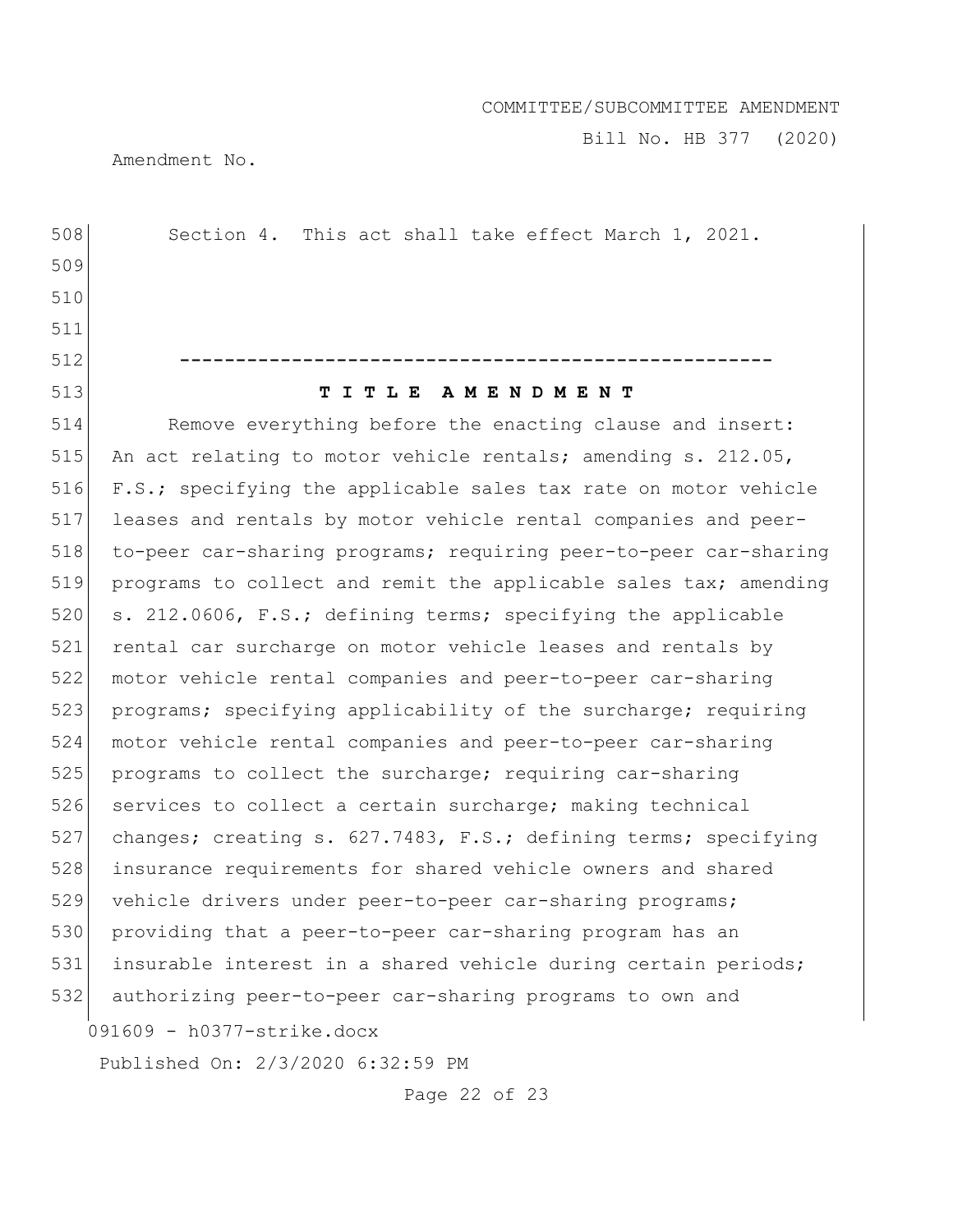Bill No. HB 377 (2020)

Amendment No.

091609 - h0377-strike.docx Published On: 2/3/2020 6:32:59 PM 508 Section 4. This act shall take effect March 1, 2021. 509 510 511 512 **-----------------------------------------------------** 513 **T I T L E A M E N D M E N T** 514 Remove everything before the enacting clause and insert: 515 An act relating to motor vehicle rentals; amending s. 212.05, 516 F.S.; specifying the applicable sales tax rate on motor vehicle 517 leases and rentals by motor vehicle rental companies and peer-518 to-peer car-sharing programs; requiring peer-to-peer car-sharing 519 programs to collect and remit the applicable sales tax; amending 520 s. 212.0606, F.S.; defining terms; specifying the applicable 521 rental car surcharge on motor vehicle leases and rentals by 522 motor vehicle rental companies and peer-to-peer car-sharing 523 programs; specifying applicability of the surcharge; requiring 524 motor vehicle rental companies and peer-to-peer car-sharing 525 programs to collect the surcharge; requiring car-sharing 526 services to collect a certain surcharge; making technical 527 changes; creating s. 627.7483, F.S.; defining terms; specifying 528 insurance requirements for shared vehicle owners and shared 529 vehicle drivers under peer-to-peer car-sharing programs; 530 providing that a peer-to-peer car-sharing program has an 531 insurable interest in a shared vehicle during certain periods; 532 authorizing peer-to-peer car-sharing programs to own and

Page 22 of 23